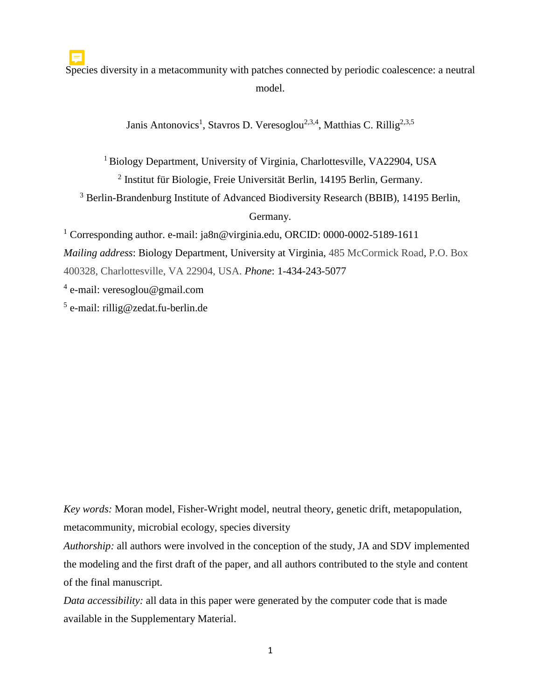Species diversity in a metacommunity with patches connected by periodic coalescence: a neutral model.

Janis Antonovics<sup>1</sup>, Stavros D. Veresoglou<sup>2,3,4</sup>, Matthias C. Rillig<sup>2,3,5</sup>

<sup>1</sup> Biology Department, University of Virginia, Charlottesville, VA22904, USA

2 Institut für Biologie, Freie Universität Berlin, 14195 Berlin, Germany.

<sup>3</sup> Berlin-Brandenburg Institute of Advanced Biodiversity Research (BBIB), 14195 Berlin,

Germany.

<sup>1</sup> Corresponding author. e-mail: ja8n@virginia.edu, ORCID: 0000-0002-5189-1611

*Mailing address*: Biology Department, University at Virginia, 485 McCormick Road, P.O. Box

400328, Charlottesville, VA 22904, USA. *Phone*: 1-434-243-5077

<sup>4</sup> e-mail: veresoglou@gmail.com

5 e-mail: rillig@zedat.fu-berlin.de

*Key words:* Moran model, Fisher-Wright model, neutral theory, genetic drift, metapopulation, metacommunity, microbial ecology, species diversity

*Authorship:* all authors were involved in the conception of the study, JA and SDV implemented the modeling and the first draft of the paper, and all authors contributed to the style and content of the final manuscript.

*Data accessibility:* all data in this paper were generated by the computer code that is made available in the Supplementary Material.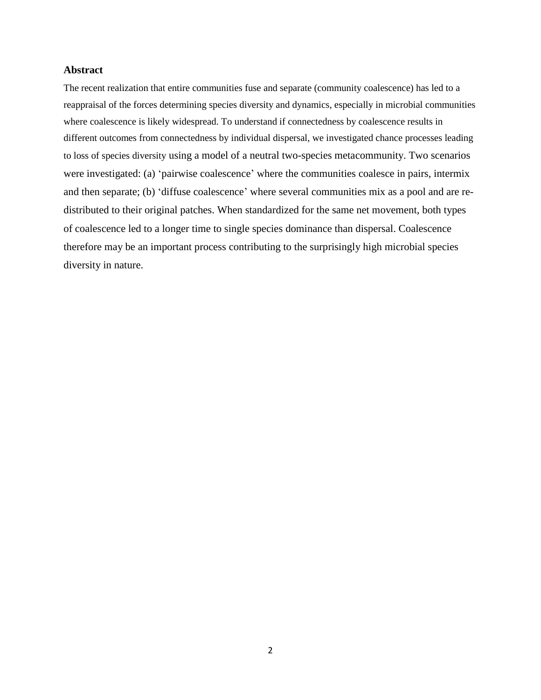## **Abstract**

The recent realization that entire communities fuse and separate (community coalescence) has led to a reappraisal of the forces determining species diversity and dynamics, especially in microbial communities where coalescence is likely widespread. To understand if connectedness by coalescence results in different outcomes from connectedness by individual dispersal, we investigated chance processes leading to loss of species diversity using a model of a neutral two-species metacommunity. Two scenarios were investigated: (a) 'pairwise coalescence' where the communities coalesce in pairs, intermix and then separate; (b) 'diffuse coalescence' where several communities mix as a pool and are redistributed to their original patches. When standardized for the same net movement, both types of coalescence led to a longer time to single species dominance than dispersal. Coalescence therefore may be an important process contributing to the surprisingly high microbial species diversity in nature.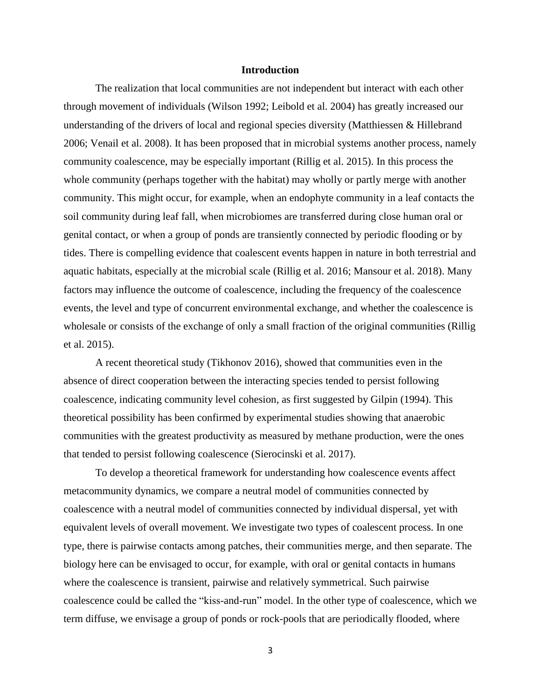### **Introduction**

The realization that local communities are not independent but interact with each other through movement of individuals (Wilson 1992; Leibold et al. 2004) has greatly increased our understanding of the drivers of local and regional species diversity (Matthiessen & Hillebrand 2006; Venail et al. 2008). It has been proposed that in microbial systems another process, namely community coalescence, may be especially important (Rillig et al. 2015). In this process the whole community (perhaps together with the habitat) may wholly or partly merge with another community. This might occur, for example, when an endophyte community in a leaf contacts the soil community during leaf fall, when microbiomes are transferred during close human oral or genital contact, or when a group of ponds are transiently connected by periodic flooding or by tides. There is compelling evidence that coalescent events happen in nature in both terrestrial and aquatic habitats, especially at the microbial scale (Rillig et al. 2016; Mansour et al. 2018). Many factors may influence the outcome of coalescence, including the frequency of the coalescence events, the level and type of concurrent environmental exchange, and whether the coalescence is wholesale or consists of the exchange of only a small fraction of the original communities (Rillig et al. 2015).

A recent theoretical study (Tikhonov 2016), showed that communities even in the absence of direct cooperation between the interacting species tended to persist following coalescence, indicating community level cohesion, as first suggested by Gilpin (1994). This theoretical possibility has been confirmed by experimental studies showing that anaerobic communities with the greatest productivity as measured by methane production, were the ones that tended to persist following coalescence (Sierocinski et al. 2017).

To develop a theoretical framework for understanding how coalescence events affect metacommunity dynamics, we compare a neutral model of communities connected by coalescence with a neutral model of communities connected by individual dispersal, yet with equivalent levels of overall movement. We investigate two types of coalescent process. In one type, there is pairwise contacts among patches, their communities merge, and then separate. The biology here can be envisaged to occur, for example, with oral or genital contacts in humans where the coalescence is transient, pairwise and relatively symmetrical. Such pairwise coalescence could be called the "kiss-and-run" model. In the other type of coalescence, which we term diffuse, we envisage a group of ponds or rock-pools that are periodically flooded, where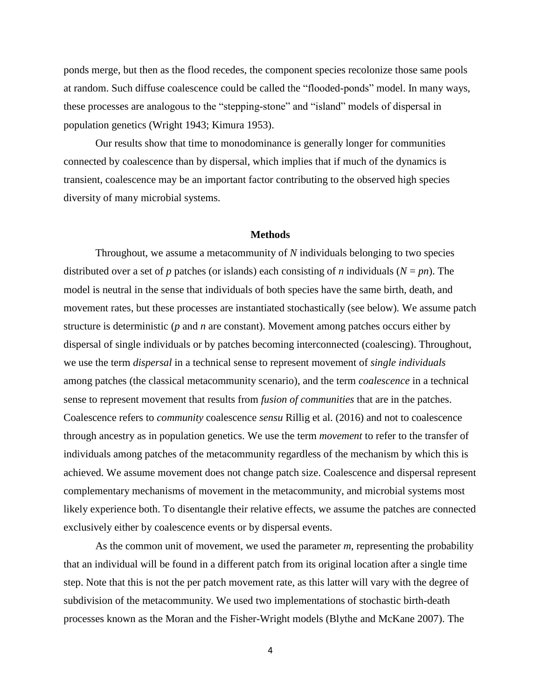ponds merge, but then as the flood recedes, the component species recolonize those same pools at random. Such diffuse coalescence could be called the "flooded-ponds" model. In many ways, these processes are analogous to the "stepping-stone" and "island" models of dispersal in population genetics (Wright 1943; Kimura 1953).

Our results show that time to monodominance is generally longer for communities connected by coalescence than by dispersal, which implies that if much of the dynamics is transient, coalescence may be an important factor contributing to the observed high species diversity of many microbial systems.

### **Methods**

Throughout, we assume a metacommunity of *N* individuals belonging to two species distributed over a set of *p* patches (or islands) each consisting of *n* individuals (*N* = *pn*). The model is neutral in the sense that individuals of both species have the same birth, death, and movement rates, but these processes are instantiated stochastically (see below). We assume patch structure is deterministic (*p* and *n* are constant). Movement among patches occurs either by dispersal of single individuals or by patches becoming interconnected (coalescing). Throughout, we use the term *dispersal* in a technical sense to represent movement of *single individuals* among patches (the classical metacommunity scenario), and the term *coalescence* in a technical sense to represent movement that results from *fusion of communities* that are in the patches. Coalescence refers to *community* coalescence *sensu* Rillig et al. (2016) and not to coalescence through ancestry as in population genetics. We use the term *movement* to refer to the transfer of individuals among patches of the metacommunity regardless of the mechanism by which this is achieved. We assume movement does not change patch size. Coalescence and dispersal represent complementary mechanisms of movement in the metacommunity, and microbial systems most likely experience both. To disentangle their relative effects, we assume the patches are connected exclusively either by coalescence events or by dispersal events.

As the common unit of movement, we used the parameter *m*, representing the probability that an individual will be found in a different patch from its original location after a single time step. Note that this is not the per patch movement rate, as this latter will vary with the degree of subdivision of the metacommunity. We used two implementations of stochastic birth-death processes known as the Moran and the Fisher-Wright models (Blythe and McKane 2007). The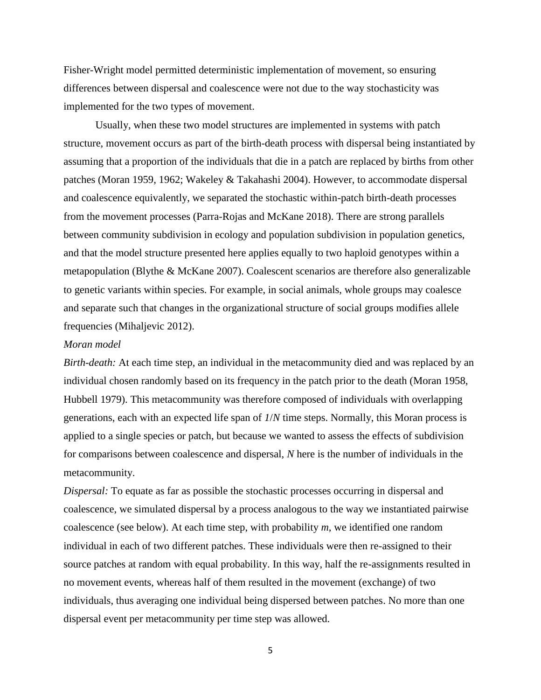Fisher-Wright model permitted deterministic implementation of movement, so ensuring differences between dispersal and coalescence were not due to the way stochasticity was implemented for the two types of movement.

Usually, when these two model structures are implemented in systems with patch structure, movement occurs as part of the birth-death process with dispersal being instantiated by assuming that a proportion of the individuals that die in a patch are replaced by births from other patches (Moran 1959, 1962; Wakeley & Takahashi 2004). However, to accommodate dispersal and coalescence equivalently, we separated the stochastic within-patch birth-death processes from the movement processes (Parra-Rojas and McKane 2018). There are strong parallels between community subdivision in ecology and population subdivision in population genetics, and that the model structure presented here applies equally to two haploid genotypes within a metapopulation (Blythe & McKane 2007). Coalescent scenarios are therefore also generalizable to genetic variants within species. For example, in social animals, whole groups may coalesce and separate such that changes in the organizational structure of social groups modifies allele frequencies (Mihaljevic 2012).

## *Moran model*

*Birth-death:* At each time step, an individual in the metacommunity died and was replaced by an individual chosen randomly based on its frequency in the patch prior to the death (Moran 1958, Hubbell 1979). This metacommunity was therefore composed of individuals with overlapping generations, each with an expected life span of *1*/*N* time steps. Normally, this Moran process is applied to a single species or patch, but because we wanted to assess the effects of subdivision for comparisons between coalescence and dispersal, *N* here is the number of individuals in the metacommunity.

*Dispersal:* To equate as far as possible the stochastic processes occurring in dispersal and coalescence, we simulated dispersal by a process analogous to the way we instantiated pairwise coalescence (see below). At each time step, with probability *m*, we identified one random individual in each of two different patches. These individuals were then re-assigned to their source patches at random with equal probability. In this way, half the re-assignments resulted in no movement events, whereas half of them resulted in the movement (exchange) of two individuals, thus averaging one individual being dispersed between patches. No more than one dispersal event per metacommunity per time step was allowed.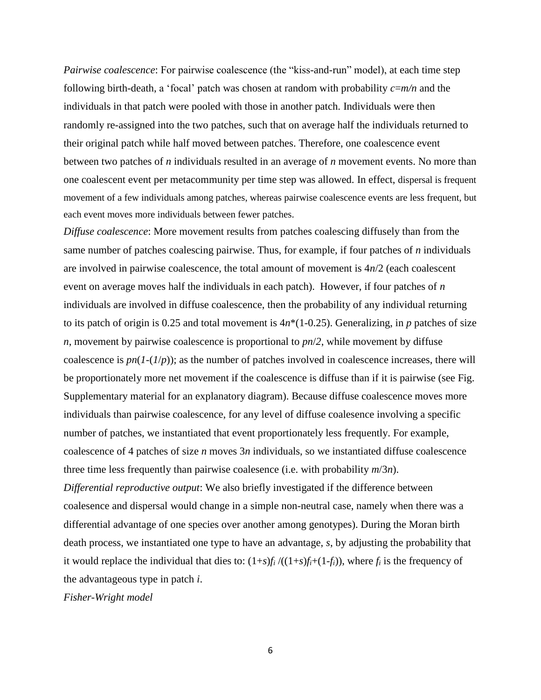*Pairwise coalescence*: For pairwise coalescence (the "kiss-and-run" model), at each time step following birth-death, a 'focal' patch was chosen at random with probability *c*=*m/n* and the individuals in that patch were pooled with those in another patch. Individuals were then randomly re-assigned into the two patches, such that on average half the individuals returned to their original patch while half moved between patches. Therefore, one coalescence event between two patches of *n* individuals resulted in an average of *n* movement events. No more than one coalescent event per metacommunity per time step was allowed. In effect, dispersal is frequent movement of a few individuals among patches, whereas pairwise coalescence events are less frequent, but each event moves more individuals between fewer patches.

*Diffuse coalescence*: More movement results from patches coalescing diffusely than from the same number of patches coalescing pairwise. Thus, for example, if four patches of *n* individuals are involved in pairwise coalescence, the total amount of movement is  $4n/2$  (each coalescent event on average moves half the individuals in each patch). However, if four patches of *n* individuals are involved in diffuse coalescence, then the probability of any individual returning to its patch of origin is 0.25 and total movement is  $4n*(1-0.25)$ . Generalizing, in p patches of size *n*, movement by pairwise coalescence is proportional to *pn*/*2*, while movement by diffuse coalescence is  $pn(1-(1/p))$ ; as the number of patches involved in coalescence increases, there will be proportionately more net movement if the coalescence is diffuse than if it is pairwise (see Fig. Supplementary material for an explanatory diagram). Because diffuse coalescence moves more individuals than pairwise coalescence, for any level of diffuse coalesence involving a specific number of patches, we instantiated that event proportionately less frequently. For example, coalescence of 4 patches of size *n* moves 3*n* individuals, so we instantiated diffuse coalescence three time less frequently than pairwise coalesence (i.e. with probability *m*/3*n*).

*Differential reproductive output*: We also briefly investigated if the difference between coalesence and dispersal would change in a simple non-neutral case, namely when there was a differential advantage of one species over another among genotypes). During the Moran birth death process, we instantiated one type to have an advantage, *s*, by adjusting the probability that it would replace the individual that dies to:  $(1+s)f_i/((1+s)f_i+(1-f_i))$ , where  $f_i$  is the frequency of the advantageous type in patch *i*.

*Fisher-Wright model*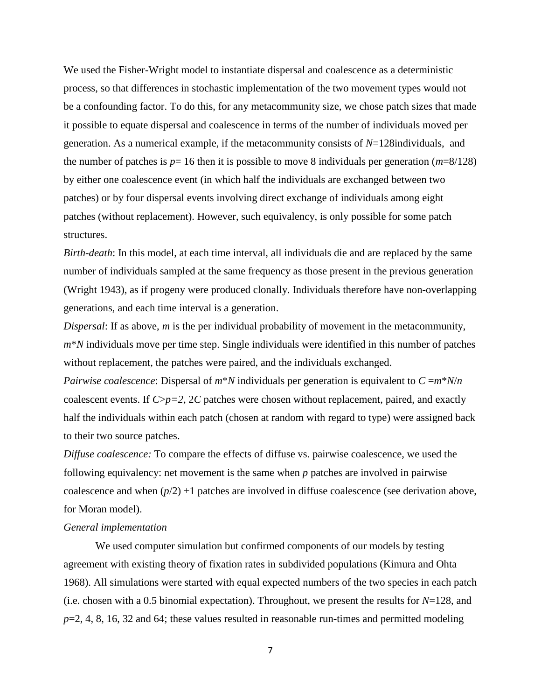We used the Fisher-Wright model to instantiate dispersal and coalescence as a deterministic process, so that differences in stochastic implementation of the two movement types would not be a confounding factor. To do this, for any metacommunity size, we chose patch sizes that made it possible to equate dispersal and coalescence in terms of the number of individuals moved per generation. As a numerical example, if the metacommunity consists of *N*=128individuals, and the number of patches is  $p=16$  then it is possible to move 8 individuals per generation ( $m=8/128$ ) by either one coalescence event (in which half the individuals are exchanged between two patches) or by four dispersal events involving direct exchange of individuals among eight patches (without replacement). However, such equivalency, is only possible for some patch structures.

*Birth-death*: In this model, at each time interval, all individuals die and are replaced by the same number of individuals sampled at the same frequency as those present in the previous generation (Wright 1943), as if progeny were produced clonally. Individuals therefore have non-overlapping generations, and each time interval is a generation.

*Dispersal*: If as above, *m* is the per individual probability of movement in the metacommunity, *m*\**N* individuals move per time step. Single individuals were identified in this number of patches without replacement, the patches were paired, and the individuals exchanged.

*Pairwise coalescence*: Dispersal of *m*\**N* individuals per generation is equivalent to *C* =*m*\**N*/*n* coalescent events. If *C*>*p=2*, 2*C* patches were chosen without replacement, paired, and exactly half the individuals within each patch (chosen at random with regard to type) were assigned back to their two source patches.

*Diffuse coalescence:* To compare the effects of diffuse vs. pairwise coalescence, we used the following equivalency: net movement is the same when *p* patches are involved in pairwise coalescence and when  $(p/2)$  +1 patches are involved in diffuse coalescence (see derivation above, for Moran model).

#### *General implementation*

We used computer simulation but confirmed components of our models by testing agreement with existing theory of fixation rates in subdivided populations (Kimura and Ohta 1968). All simulations were started with equal expected numbers of the two species in each patch (i.e. chosen with a 0.5 binomial expectation). Throughout, we present the results for *N*=128, and *p*=2, 4, 8, 16, 32 and 64; these values resulted in reasonable run-times and permitted modeling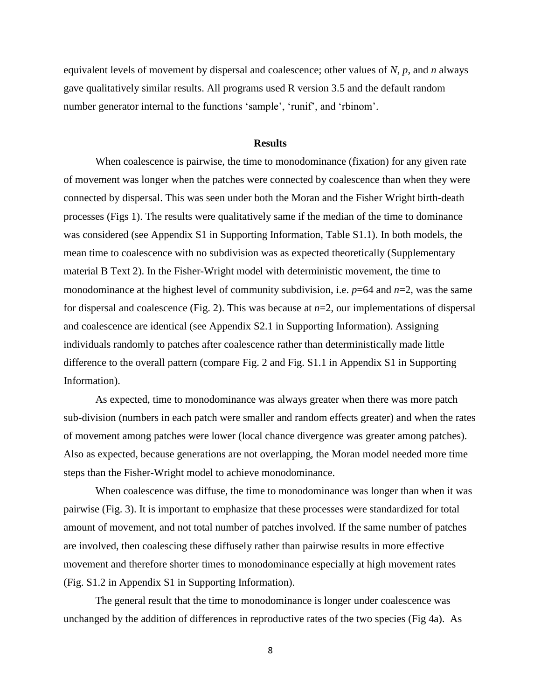equivalent levels of movement by dispersal and coalescence; other values of *N*, *p*, and *n* always gave qualitatively similar results. All programs used R version 3.5 and the default random number generator internal to the functions 'sample', 'runif', and 'rbinom'.

### **Results**

When coalescence is pairwise, the time to monodominance (fixation) for any given rate of movement was longer when the patches were connected by coalescence than when they were connected by dispersal. This was seen under both the Moran and the Fisher Wright birth-death processes (Figs 1). The results were qualitatively same if the median of the time to dominance was considered (see Appendix S1 in Supporting Information, Table S1.1). In both models, the mean time to coalescence with no subdivision was as expected theoretically (Supplementary material B Text 2). In the Fisher-Wright model with deterministic movement, the time to monodominance at the highest level of community subdivision, i.e.  $p=64$  and  $n=2$ , was the same for dispersal and coalescence (Fig. 2). This was because at *n*=2, our implementations of dispersal and coalescence are identical (see Appendix S2.1 in Supporting Information). Assigning individuals randomly to patches after coalescence rather than deterministically made little difference to the overall pattern (compare Fig. 2 and Fig. S1.1 in Appendix S1 in Supporting Information).

As expected, time to monodominance was always greater when there was more patch sub-division (numbers in each patch were smaller and random effects greater) and when the rates of movement among patches were lower (local chance divergence was greater among patches). Also as expected, because generations are not overlapping, the Moran model needed more time steps than the Fisher-Wright model to achieve monodominance.

When coalescence was diffuse, the time to monodominance was longer than when it was pairwise (Fig. 3). It is important to emphasize that these processes were standardized for total amount of movement, and not total number of patches involved. If the same number of patches are involved, then coalescing these diffusely rather than pairwise results in more effective movement and therefore shorter times to monodominance especially at high movement rates (Fig. S1.2 in Appendix S1 in Supporting Information).

The general result that the time to monodominance is longer under coalescence was unchanged by the addition of differences in reproductive rates of the two species (Fig 4a). As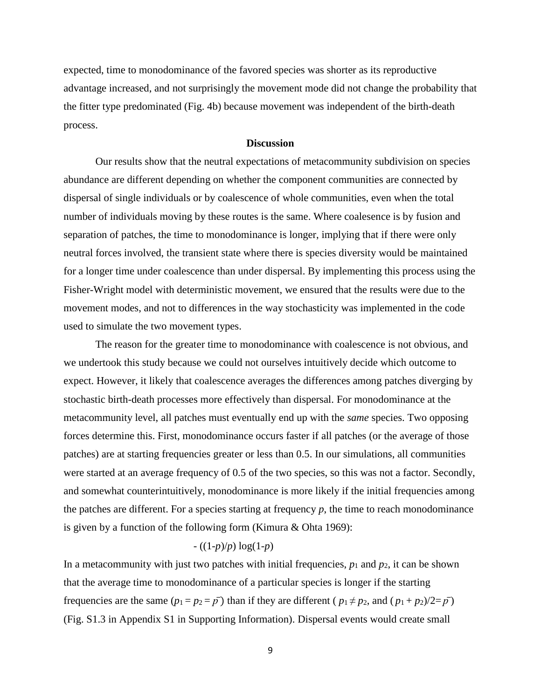expected, time to monodominance of the favored species was shorter as its reproductive advantage increased, and not surprisingly the movement mode did not change the probability that the fitter type predominated (Fig. 4b) because movement was independent of the birth-death process.

### **Discussion**

Our results show that the neutral expectations of metacommunity subdivision on species abundance are different depending on whether the component communities are connected by dispersal of single individuals or by coalescence of whole communities, even when the total number of individuals moving by these routes is the same. Where coalesence is by fusion and separation of patches, the time to monodominance is longer, implying that if there were only neutral forces involved, the transient state where there is species diversity would be maintained for a longer time under coalescence than under dispersal. By implementing this process using the Fisher-Wright model with deterministic movement, we ensured that the results were due to the movement modes, and not to differences in the way stochasticity was implemented in the code used to simulate the two movement types.

The reason for the greater time to monodominance with coalescence is not obvious, and we undertook this study because we could not ourselves intuitively decide which outcome to expect. However, it likely that coalescence averages the differences among patches diverging by stochastic birth-death processes more effectively than dispersal. For monodominance at the metacommunity level, all patches must eventually end up with the *same* species. Two opposing forces determine this. First, monodominance occurs faster if all patches (or the average of those patches) are at starting frequencies greater or less than 0.5. In our simulations, all communities were started at an average frequency of 0.5 of the two species, so this was not a factor. Secondly, and somewhat counterintuitively, monodominance is more likely if the initial frequencies among the patches are different. For a species starting at frequency *p*, the time to reach monodominance is given by a function of the following form (Kimura & Ohta 1969):

## - ((1-*p*)/*p*) log(1-*p*)

In a metacommunity with just two patches with initial frequencies,  $p_1$  and  $p_2$ , it can be shown that the average time to monodominance of a particular species is longer if the starting frequencies are the same  $(p_1 = p_2 = p^T)$  than if they are different  $(p_1 \neq p_2,$  and  $(p_1 + p_2)/2 = p^T$ ) (Fig. S1.3 in Appendix S1 in Supporting Information). Dispersal events would create small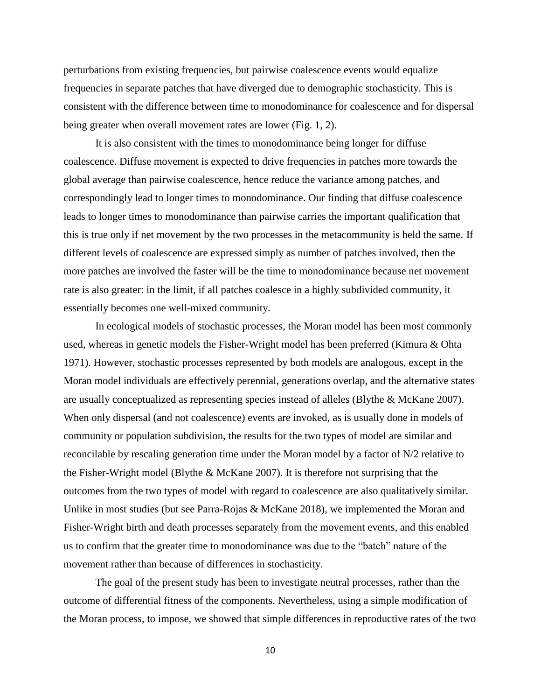perturbations from existing frequencies, but pairwise coalescence events would equalize frequencies in separate patches that have diverged due to demographic stochasticity. This is consistent with the difference between time to monodominance for coalescence and for dispersal being greater when overall movement rates are lower (Fig. 1, 2).

It is also consistent with the times to monodominance being longer for diffuse coalescence. Diffuse movement is expected to drive frequencies in patches more towards the global average than pairwise coalescence, hence reduce the variance among patches, and correspondingly lead to longer times to monodominance. Our finding that diffuse coalescence leads to longer times to monodominance than pairwise carries the important qualification that this is true only if net movement by the two processes in the metacommunity is held the same. If different levels of coalescence are expressed simply as number of patches involved, then the more patches are involved the faster will be the time to monodominance because net movement rate is also greater: in the limit, if all patches coalesce in a highly subdivided community, it essentially becomes one well-mixed community.

In ecological models of stochastic processes, the Moran model has been most commonly used, whereas in genetic models the Fisher-Wright model has been preferred (Kimura & Ohta 1971). However, stochastic processes represented by both models are analogous, except in the Moran model individuals are effectively perennial, generations overlap, and the alternative states are usually conceptualized as representing species instead of alleles (Blythe & McKane 2007). When only dispersal (and not coalescence) events are invoked, as is usually done in models of community or population subdivision, the results for the two types of model are similar and reconcilable by rescaling generation time under the Moran model by a factor of N/2 relative to the Fisher-Wright model (Blythe & McKane 2007). It is therefore not surprising that the outcomes from the two types of model with regard to coalescence are also qualitatively similar. Unlike in most studies (but see Parra-Rojas & McKane 2018), we implemented the Moran and Fisher-Wright birth and death processes separately from the movement events, and this enabled us to confirm that the greater time to monodominance was due to the "batch" nature of the movement rather than because of differences in stochasticity.

The goal of the present study has been to investigate neutral processes, rather than the outcome of differential fitness of the components. Nevertheless, using a simple modification of the Moran process, to impose, we showed that simple differences in reproductive rates of the two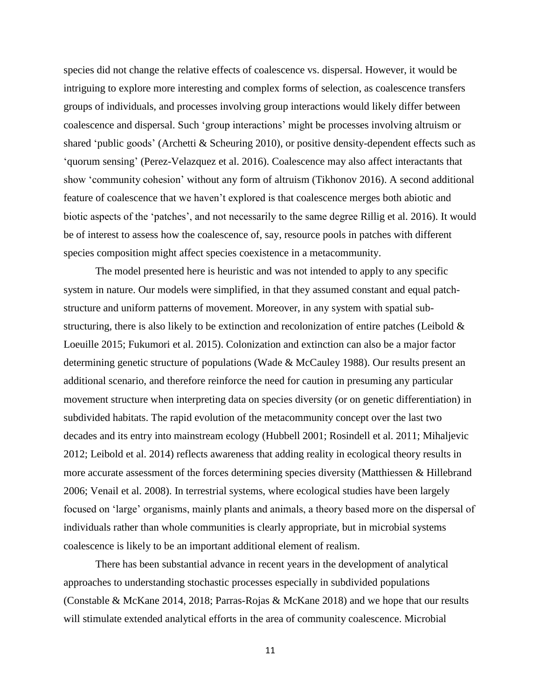species did not change the relative effects of coalescence vs. dispersal. However, it would be intriguing to explore more interesting and complex forms of selection, as coalescence transfers groups of individuals, and processes involving group interactions would likely differ between coalescence and dispersal. Such 'group interactions' might be processes involving altruism or shared 'public goods' (Archetti & Scheuring 2010), or positive density-dependent effects such as 'quorum sensing' (Perez-Velazquez et al. 2016). Coalescence may also affect interactants that show 'community cohesion' without any form of altruism (Tikhonov 2016). A second additional feature of coalescence that we haven't explored is that coalescence merges both abiotic and biotic aspects of the 'patches', and not necessarily to the same degree Rillig et al. 2016). It would be of interest to assess how the coalescence of, say, resource pools in patches with different species composition might affect species coexistence in a metacommunity.

The model presented here is heuristic and was not intended to apply to any specific system in nature. Our models were simplified, in that they assumed constant and equal patchstructure and uniform patterns of movement. Moreover, in any system with spatial substructuring, there is also likely to be extinction and recolonization of entire patches (Leibold & Loeuille 2015; Fukumori et al. 2015). Colonization and extinction can also be a major factor determining genetic structure of populations (Wade & McCauley 1988). Our results present an additional scenario, and therefore reinforce the need for caution in presuming any particular movement structure when interpreting data on species diversity (or on genetic differentiation) in subdivided habitats. The rapid evolution of the metacommunity concept over the last two decades and its entry into mainstream ecology (Hubbell 2001; Rosindell et al. 2011; Mihaljevic 2012; Leibold et al. 2014) reflects awareness that adding reality in ecological theory results in more accurate assessment of the forces determining species diversity (Matthiessen & Hillebrand 2006; Venail et al. 2008). In terrestrial systems, where ecological studies have been largely focused on 'large' organisms, mainly plants and animals, a theory based more on the dispersal of individuals rather than whole communities is clearly appropriate, but in microbial systems coalescence is likely to be an important additional element of realism.

There has been substantial advance in recent years in the development of analytical approaches to understanding stochastic processes especially in subdivided populations (Constable & McKane 2014, 2018; Parras-Rojas & McKane 2018) and we hope that our results will stimulate extended analytical efforts in the area of community coalescence. Microbial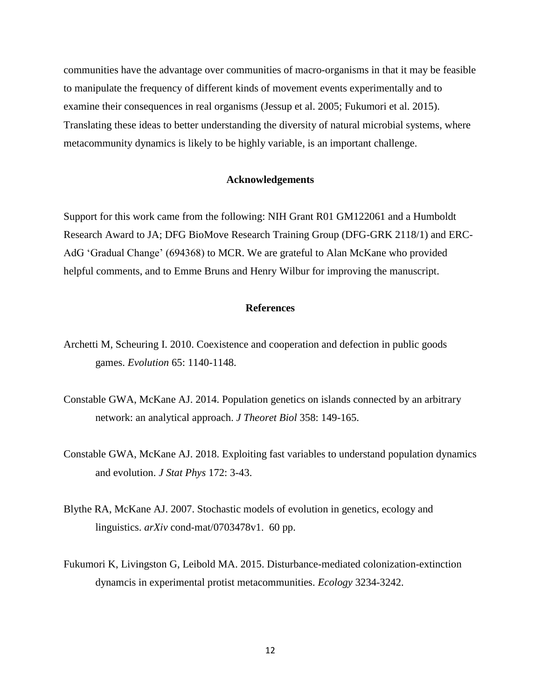communities have the advantage over communities of macro-organisms in that it may be feasible to manipulate the frequency of different kinds of movement events experimentally and to examine their consequences in real organisms (Jessup et al. 2005; Fukumori et al. 2015). Translating these ideas to better understanding the diversity of natural microbial systems, where metacommunity dynamics is likely to be highly variable, is an important challenge.

## **Acknowledgements**

Support for this work came from the following: NIH Grant R01 GM122061 and a Humboldt Research Award to JA; DFG BioMove Research Training Group (DFG-GRK 2118/1) and ERC-AdG 'Gradual Change' (694368) to MCR. We are grateful to Alan McKane who provided helpful comments, and to Emme Bruns and Henry Wilbur for improving the manuscript.

## **References**

- Archetti M, Scheuring I. 2010. Coexistence and cooperation and defection in public goods games. *Evolution* 65: 1140-1148.
- Constable GWA, McKane AJ. 2014. Population genetics on islands connected by an arbitrary network: an analytical approach. *J Theoret Biol* 358: 149-165.
- Constable GWA, McKane AJ. 2018. Exploiting fast variables to understand population dynamics and evolution. *J Stat Phys* 172: 3-43.
- Blythe RA, McKane AJ. 2007. Stochastic models of evolution in genetics, ecology and linguistics. *arXiv* cond-mat/0703478v1. 60 pp.
- Fukumori K, Livingston G, Leibold MA. 2015. Disturbance-mediated colonization-extinction dynamcis in experimental protist metacommunities. *Ecology* 3234-3242.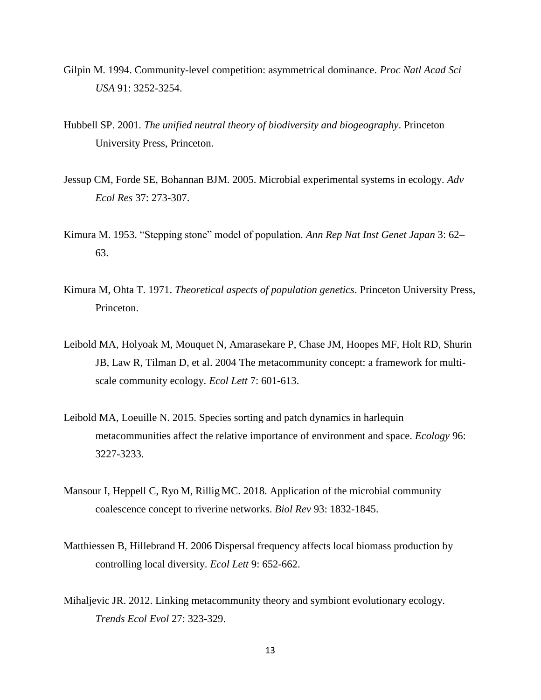- Gilpin M. 1994. Community-level competition: asymmetrical dominance. *Proc Natl Acad Sci USA* 91: 3252-3254.
- Hubbell SP. 2001. *The unified neutral theory of biodiversity and biogeography*. Princeton University Press, Princeton.
- Jessup CM, Forde SE, Bohannan BJM. 2005. Microbial experimental systems in ecology. *Adv Ecol Res* 37: 273-307.
- Kimura M. 1953. "Stepping stone" model of population. *Ann Rep Nat Inst Genet Japan* 3: 62– 63.
- Kimura M, Ohta T. 1971. *Theoretical aspects of population genetics*. Princeton University Press, Princeton.
- Leibold MA, Holyoak M, Mouquet N, Amarasekare P, Chase JM, Hoopes MF, Holt RD, Shurin JB, Law R, Tilman D, et al. 2004 The metacommunity concept: a framework for multiscale community ecology. *Ecol Lett* 7: 601-613.
- Leibold MA, Loeuille N. 2015. Species sorting and patch dynamics in harlequin metacommunities affect the relative importance of environment and space. *Ecology* 96: 3227-3233.
- Mansour I, Heppell C, Ryo M, Rillig MC. 2018. Application of the microbial community coalescence concept to riverine networks. *Biol Rev* 93: 1832-1845.
- Matthiessen B, Hillebrand H. 2006 Dispersal frequency affects local biomass production by controlling local diversity. *Ecol Lett* 9: 652-662.
- Mihaljevic JR. 2012. Linking metacommunity theory and symbiont evolutionary ecology. *Trends Ecol Evol* 27: 323-329.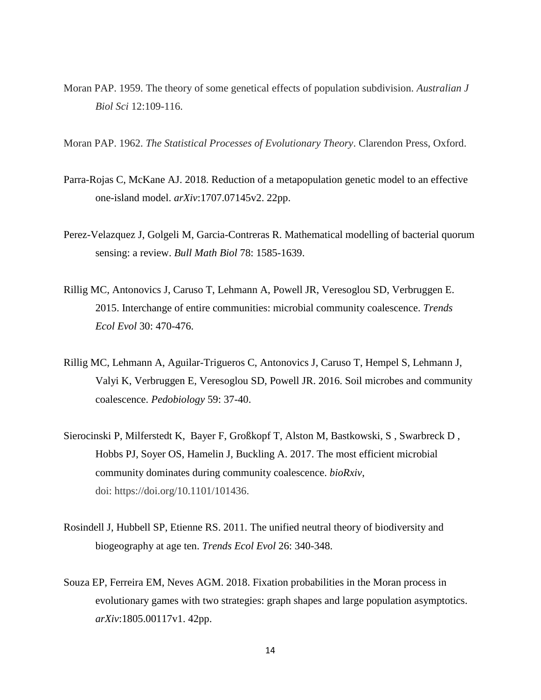- Moran PAP. 1959. The theory of some genetical effects of population subdivision. *Australian J Biol Sci* 12:109-116.
- Moran PAP. 1962. *The Statistical Processes of Evolutionary Theory*. Clarendon Press, Oxford.
- Parra-Rojas C, McKane AJ. 2018. Reduction of a metapopulation genetic model to an effective one-island model. *arXiv*:1707.07145v2. 22pp.
- Perez-Velazquez J, Golgeli M, Garcia-Contreras R. Mathematical modelling of bacterial quorum sensing: a review. *Bull Math Biol* 78: 1585-1639.
- Rillig MC, Antonovics J, Caruso T, Lehmann A, Powell JR, Veresoglou SD, Verbruggen E. 2015. Interchange of entire communities: microbial community coalescence. *Trends Ecol Evol* 30: 470-476.
- Rillig MC, Lehmann A, Aguilar-Trigueros C, Antonovics J, Caruso T, Hempel S, Lehmann J, Valyi K, Verbruggen E, Veresoglou SD, Powell JR. 2016. Soil microbes and community coalescence. *Pedobiology* 59: 37-40.
- Sierocinski P, Milferstedt K, Bayer F, Großkopf T, Alston M, Bastkowski, S , Swarbreck D , Hobbs PJ, Soyer OS, Hamelin J, Buckling A. 2017. The most efficient microbial community dominates during community coalescence. *bioRxiv*, doi: https://doi.org/10.1101/101436.
- Rosindell J, Hubbell SP, Etienne RS. 2011. The unified neutral theory of biodiversity and biogeography at age ten. *Trends Ecol Evol* 26: 340-348.
- Souza EP, Ferreira EM, Neves AGM. 2018. Fixation probabilities in the Moran process in evolutionary games with two strategies: graph shapes and large population asymptotics. *arXiv*:1805.00117v1. 42pp.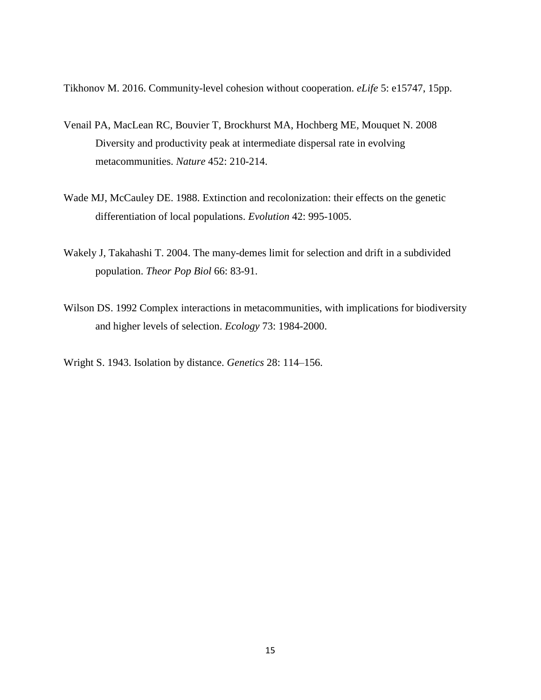Tikhonov M. 2016. Community-level cohesion without cooperation. *eLife* 5: e15747, 15pp.

- Venail PA, MacLean RC, Bouvier T, Brockhurst MA, Hochberg ME, Mouquet N. 2008 Diversity and productivity peak at intermediate dispersal rate in evolving metacommunities. *Nature* 452: 210-214.
- Wade MJ, McCauley DE. 1988. Extinction and recolonization: their effects on the genetic differentiation of local populations. *Evolution* 42: 995-1005.
- Wakely J, Takahashi T. 2004. The many-demes limit for selection and drift in a subdivided population. *Theor Pop Biol* 66: 83-91.
- Wilson DS. 1992 Complex interactions in metacommunities, with implications for biodiversity and higher levels of selection. *Ecology* 73: 1984-2000.
- Wright S. 1943. Isolation by distance. *Genetics* 28: 114–156.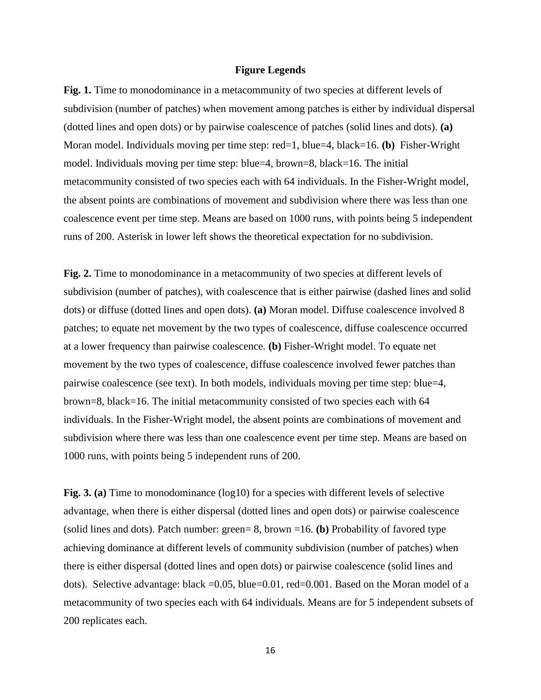### **Figure Legends**

Fig. 1. Time to monodominance in a metacommunity of two species at different levels of subdivision (number of patches) when movement among patches is either by individual dispersal (dotted lines and open dots) or by pairwise coalescence of patches (solid lines and dots). **(a)** Moran model. Individuals moving per time step: red=1, blue=4, black=16. **(b)** Fisher-Wright model. Individuals moving per time step: blue=4, brown=8, black=16. The initial metacommunity consisted of two species each with 64 individuals. In the Fisher-Wright model, the absent points are combinations of movement and subdivision where there was less than one coalescence event per time step. Means are based on 1000 runs, with points being 5 independent runs of 200. Asterisk in lower left shows the theoretical expectation for no subdivision.

**Fig. 2.** Time to monodominance in a metacommunity of two species at different levels of subdivision (number of patches), with coalescence that is either pairwise (dashed lines and solid dots) or diffuse (dotted lines and open dots). **(a)** Moran model. Diffuse coalescence involved 8 patches; to equate net movement by the two types of coalescence, diffuse coalescence occurred at a lower frequency than pairwise coalescence. **(b)** Fisher-Wright model. To equate net movement by the two types of coalescence, diffuse coalescence involved fewer patches than pairwise coalescence (see text). In both models, individuals moving per time step: blue=4, brown=8, black=16. The initial metacommunity consisted of two species each with 64 individuals. In the Fisher-Wright model, the absent points are combinations of movement and subdivision where there was less than one coalescence event per time step. Means are based on 1000 runs, with points being 5 independent runs of 200.

Fig. 3. (a) Time to monodominance (log10) for a species with different levels of selective advantage, when there is either dispersal (dotted lines and open dots) or pairwise coalescence (solid lines and dots). Patch number: green= 8, brown =16. **(b)** Probability of favored type achieving dominance at different levels of community subdivision (number of patches) when there is either dispersal (dotted lines and open dots) or pairwise coalescence (solid lines and dots). Selective advantage: black =0.05, blue=0.01, red=0.001. Based on the Moran model of a metacommunity of two species each with 64 individuals. Means are for 5 independent subsets of 200 replicates each.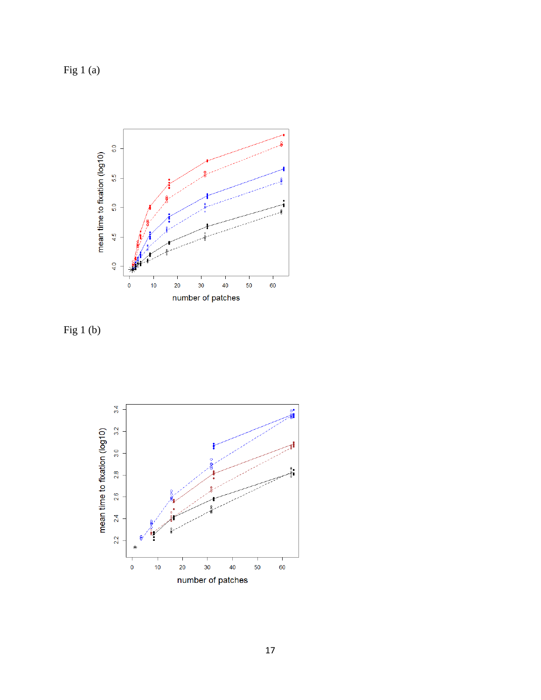Fig 1 (a)



Fig 1 (b)

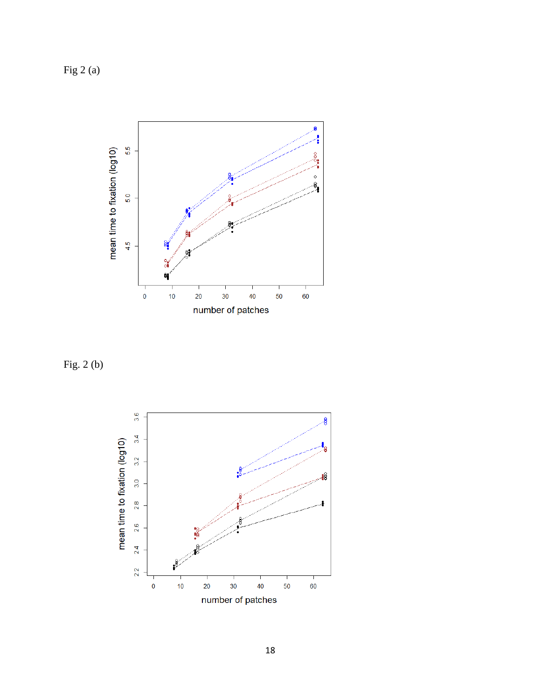Fig 2 (a)



Fig. 2 (b)

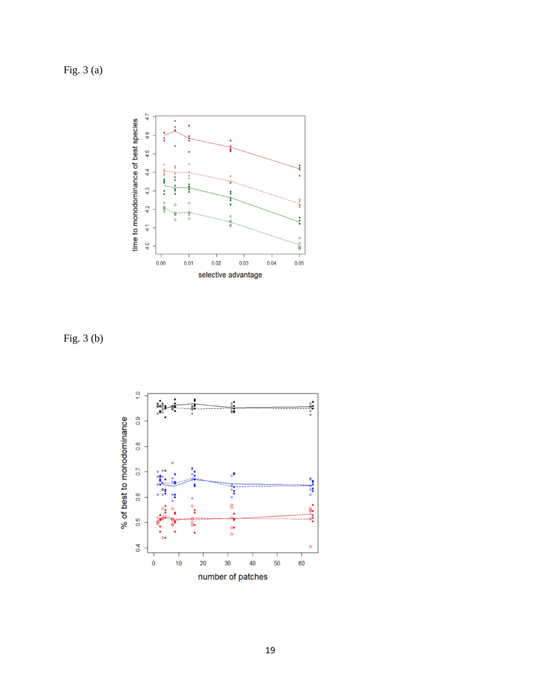Fig. 3 (a)



Fig. 3 (b)

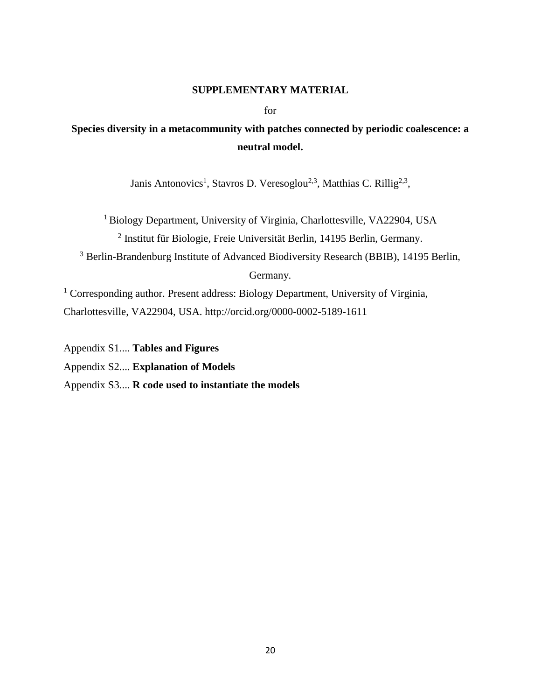## **SUPPLEMENTARY MATERIAL**

for

# **Species diversity in a metacommunity with patches connected by periodic coalescence: a neutral model.**

Janis Antonovics<sup>1</sup>, Stavros D. Veresoglou<sup>2,3</sup>, Matthias C. Rillig<sup>2,3</sup>,

<sup>1</sup> Biology Department, University of Virginia, Charlottesville, VA22904, USA 2 Institut für Biologie, Freie Universität Berlin, 14195 Berlin, Germany.

<sup>3</sup> Berlin-Brandenburg Institute of Advanced Biodiversity Research (BBIB), 14195 Berlin, Germany.

<sup>1</sup> Corresponding author. Present address: Biology Department, University of Virginia,

Charlottesville, VA22904, USA. http://orcid.org/0000-0002-5189-1611

Appendix S1.... **Tables and Figures**

Appendix S2.... **Explanation of Models**

Appendix S3.... **R code used to instantiate the models**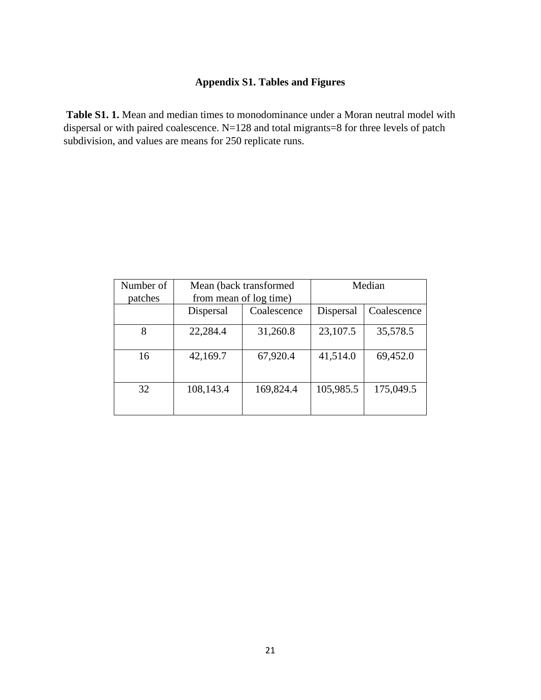## **Appendix S1. Tables and Figures**

**Table S1. 1.** Mean and median times to monodominance under a Moran neutral model with dispersal or with paired coalescence. N=128 and total migrants=8 for three levels of patch subdivision, and values are means for 250 replicate runs.

| Number of |           | Mean (back transformed) | Median    |             |  |
|-----------|-----------|-------------------------|-----------|-------------|--|
| patches   |           | from mean of log time)  |           |             |  |
|           | Dispersal | Coalescence             | Dispersal | Coalescence |  |
| 8         | 22,284.4  | 31,260.8                | 23,107.5  | 35,578.5    |  |
| 16        | 42,169.7  | 67,920.4                | 41,514.0  | 69,452.0    |  |
| 32        | 108,143.4 | 169,824.4               | 105,985.5 | 175,049.5   |  |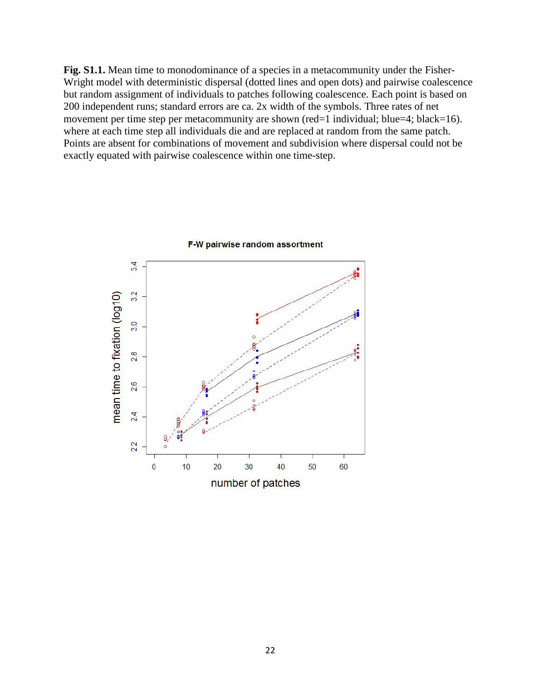Fig. S1.1. Mean time to monodominance of a species in a metacommunity under the Fisher-Wright model with deterministic dispersal (dotted lines and open dots) and pairwise coalescence but random assignment of individuals to patches following coalescence. Each point is based on 200 independent runs; standard errors are ca. 2x width of the symbols. Three rates of net movement per time step per metacommunity are shown (red=1 individual; blue=4; black=16). where at each time step all individuals die and are replaced at random from the same patch. Points are absent for combinations of movement and subdivision where dispersal could not be exactly equated with pairwise coalescence within one time-step.



F-W pairwise random assortment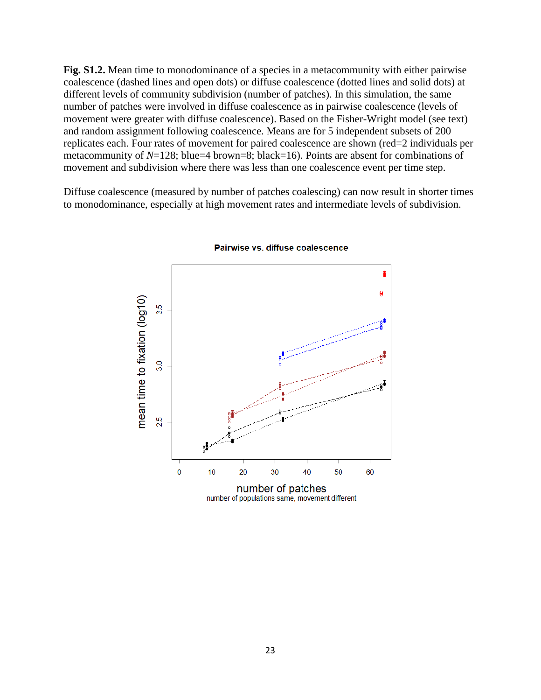**Fig. S1.2.** Mean time to monodominance of a species in a metacommunity with either pairwise coalescence (dashed lines and open dots) or diffuse coalescence (dotted lines and solid dots) at different levels of community subdivision (number of patches). In this simulation, the same number of patches were involved in diffuse coalescence as in pairwise coalescence (levels of movement were greater with diffuse coalescence). Based on the Fisher-Wright model (see text) and random assignment following coalescence. Means are for 5 independent subsets of 200 replicates each. Four rates of movement for paired coalescence are shown (red=2 individuals per metacommunity of *N*=128; blue=4 brown=8; black=16). Points are absent for combinations of movement and subdivision where there was less than one coalescence event per time step.

Diffuse coalescence (measured by number of patches coalescing) can now result in shorter times to monodominance, especially at high movement rates and intermediate levels of subdivision.



Pairwise vs. diffuse coalescence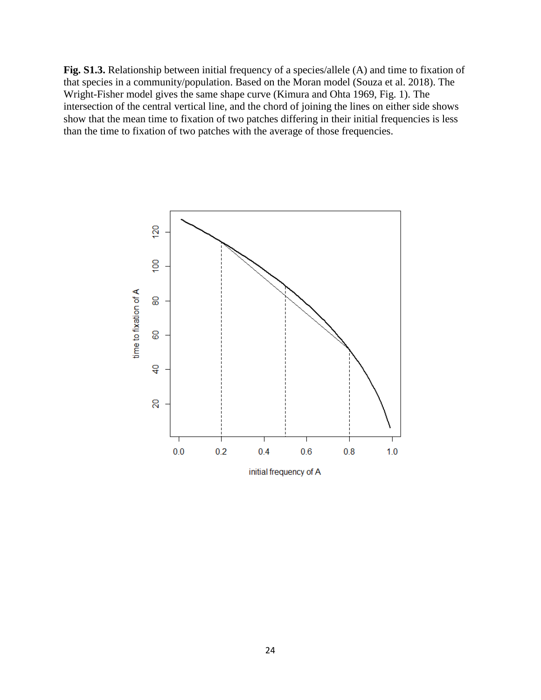**Fig. S1.3.** Relationship between initial frequency of a species/allele (A) and time to fixation of that species in a community/population. Based on the Moran model (Souza et al. 2018). The Wright-Fisher model gives the same shape curve (Kimura and Ohta 1969, Fig. 1). The intersection of the central vertical line, and the chord of joining the lines on either side shows show that the mean time to fixation of two patches differing in their initial frequencies is less than the time to fixation of two patches with the average of those frequencies.

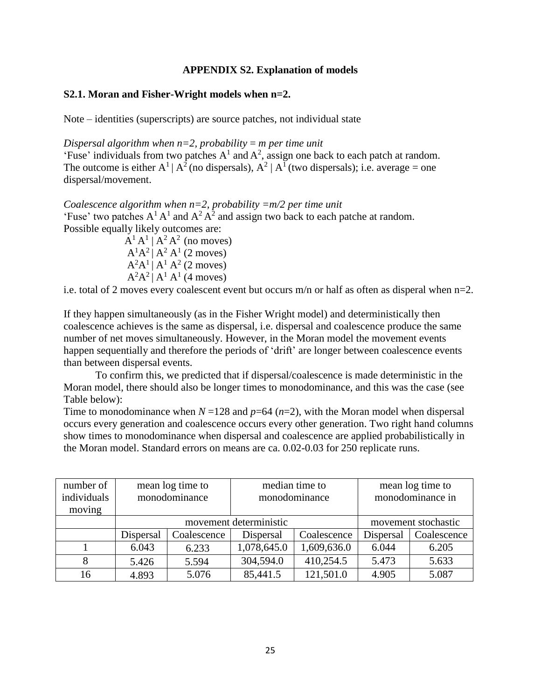## **APPENDIX S2. Explanation of models**

## **S2.1. Moran and Fisher-Wright models when n=2.**

Note – identities (superscripts) are source patches, not individual state

*Dispersal algorithm when*  $n=2$ *, probability = m per time unit* 'Fuse' individuals from two patches  $A^1$  and  $A^2$ , assign one back to each patch at random. The outcome is either  $A^1 | A^2$  (no dispersals),  $A^2 | A^1$  (two dispersals); i.e. average = one dispersal/movement.

*Coalescence algorithm when n=2, probability =m/2 per time unit* 'Fuse' two patches  $A^1 A^1$  and  $A^2 A^2$  and assign two back to each patche at random. Possible equally likely outcomes are:

 $A^1A^1 \mid A^2A^2$  (no moves)  $A^{1}A^{2}$  |  $A^{2}A^{1}$  (2 moves)  $A^2A^1 | A^1 A^2$  (2 moves)  $A^2A^2 | A^1 A^1$  (4 moves)

i.e. total of 2 moves every coalescent event but occurs m/n or half as often as disperal when n=2.

If they happen simultaneously (as in the Fisher Wright model) and deterministically then coalescence achieves is the same as dispersal, i.e. dispersal and coalescence produce the same number of net moves simultaneously. However, in the Moran model the movement events happen sequentially and therefore the periods of 'drift' are longer between coalescence events than between dispersal events.

To confirm this, we predicted that if dispersal/coalescence is made deterministic in the Moran model, there should also be longer times to monodominance, and this was the case (see Table below):

Time to monodominance when  $N = 128$  and  $p = 64$  ( $n = 2$ ), with the Moran model when dispersal occurs every generation and coalescence occurs every other generation. Two right hand columns show times to monodominance when dispersal and coalescence are applied probabilistically in the Moran model. Standard errors on means are ca. 0.02-0.03 for 250 replicate runs.

| number of<br>individuals<br>moving | mean log time to<br>monodominance |             | median time to<br>monodominance |             | mean log time to<br>monodominance in |             |
|------------------------------------|-----------------------------------|-------------|---------------------------------|-------------|--------------------------------------|-------------|
|                                    | movement deterministic            |             |                                 |             | movement stochastic                  |             |
|                                    | Dispersal                         | Coalescence | Dispersal                       | Coalescence | Dispersal                            | Coalescence |
|                                    | 6.043                             | 6.233       | 1,078,645.0                     | 1,609,636.0 | 6.044                                | 6.205       |
|                                    | 5.426                             | 5.594       | 304,594.0                       | 410,254.5   | 5.473                                | 5.633       |
| 16                                 | 4.893                             | 5.076       | 85,441.5                        | 121,501.0   | 4.905                                | 5.087       |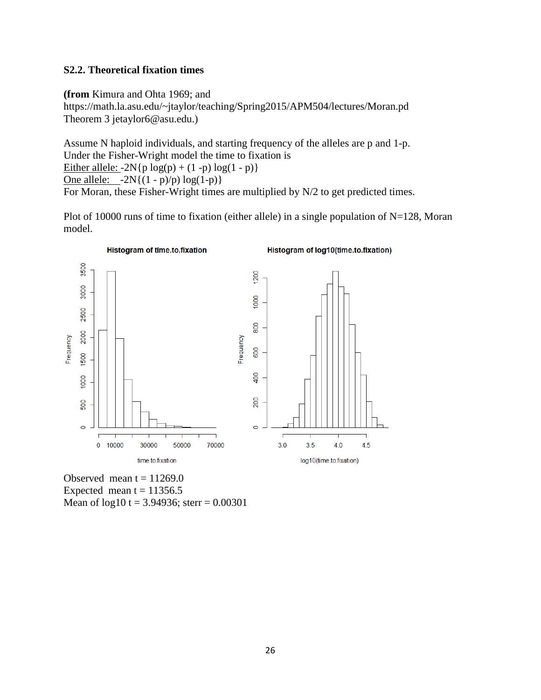## **S2.2. Theoretical fixation times**

**(from** Kimura and Ohta 1969; and https://math.la.asu.edu/~jtaylor/teaching/Spring2015/APM504/lectures/Moran.pd Theorem 3 jetaylor6@asu.edu.)

Assume N haploid individuals, and starting frequency of the alleles are p and 1-p. Under the Fisher-Wright model the time to fixation is Either allele:  $-2N\{p \log(p) + (1-p) \log(1-p)\}$ One allele:  $-2N\{(1-p)/p\} \log(1-p)$ For Moran, these Fisher-Wright times are multiplied by N/2 to get predicted times.

Plot of 10000 runs of time to fixation (either allele) in a single population of  $N=128$ , Moran model.



Observed mean  $t = 11269.0$ Expected mean  $t = 11356.5$ Mean of  $log10 t = 3.94936$ ; sterr = 0.00301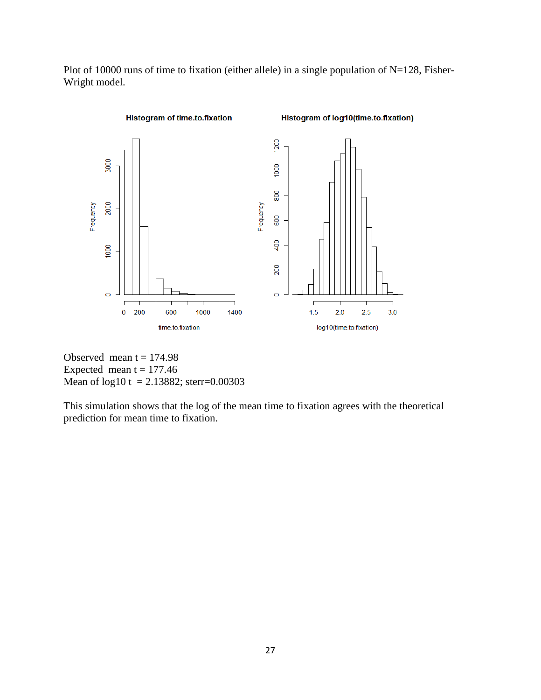Plot of 10000 runs of time to fixation (either allele) in a single population of N=128, Fisher-Wright model.



Observed mean  $t = 174.98$ Expected mean  $t = 177.46$ Mean of log10 t = 2.13882; sterr=0.00303

This simulation shows that the log of the mean time to fixation agrees with the theoretical prediction for mean time to fixation.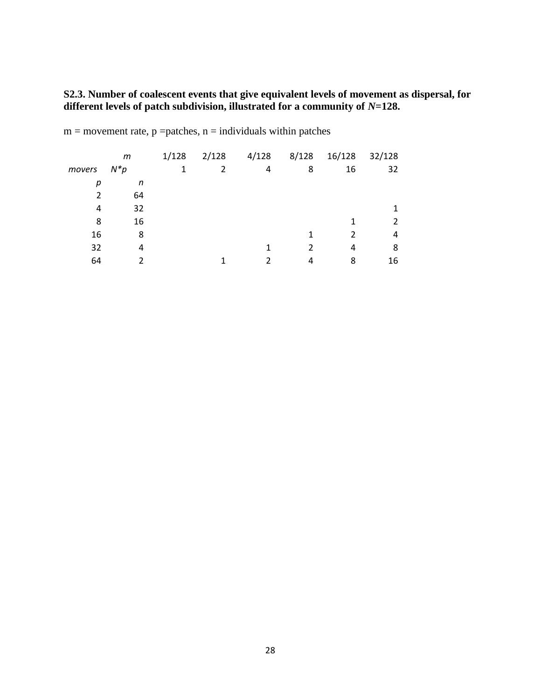**S2.3. Number of coalescent events that give equivalent levels of movement as dispersal, for different levels of patch subdivision, illustrated for a community of** *N***=128.**

| movers | m<br>$N^*p$ | 1/128<br>1 | 2/128<br>2 | 4/128<br>4 | 8/128<br>8 | 16/128<br>16  | 32/128<br>32 |
|--------|-------------|------------|------------|------------|------------|---------------|--------------|
|        |             |            |            |            |            |               |              |
| р      | n           |            |            |            |            |               |              |
|        | 64          |            |            |            |            |               |              |
| 4      | 32          |            |            |            |            |               |              |
| 8      | 16          |            |            |            |            | 1             | 2            |
| 16     | 8           |            |            |            | 1          | $\mathcal{P}$ | 4            |
| 32     | 4           |            |            |            |            | 4             | 8            |
| 64     |             |            |            | າ          | 4          | 8             | 16           |

 $m =$  movement rate,  $p =$  patches,  $n =$  individuals within patches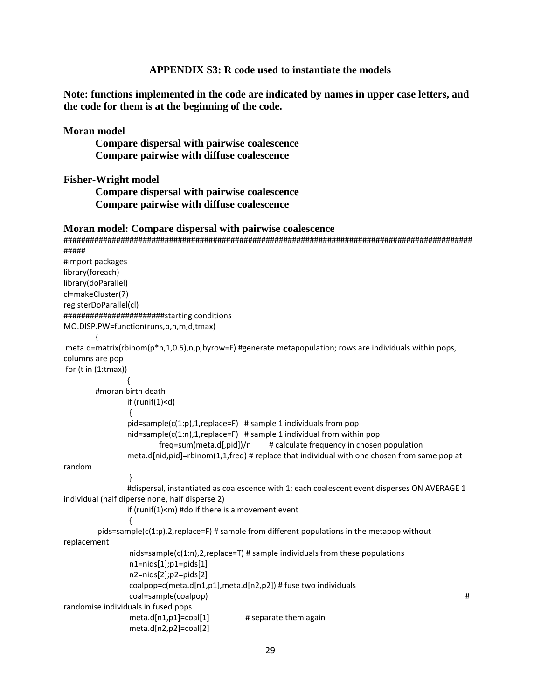## **APPENDIX S3: R code used to instantiate the models**

**Note: functions implemented in the code are indicated by names in upper case letters, and the code for them is at the beginning of the code.**

### **Moran model**

**Compare dispersal with pairwise coalescence Compare pairwise with diffuse coalescence**

### **Fisher-Wright model**

**Compare dispersal with pairwise coalescence Compare pairwise with diffuse coalescence**

### **Moran model: Compare dispersal with pairwise coalescence**

```
#############################################################################################
#####
#import packages
library(foreach)
library(doParallel)
cl=makeCluster(7)
registerDoParallel(cl)
#######################starting conditions
MO.DISP.PW=function(runs,p,n,m,d,tmax)
        {
meta.d=matrix(rbinom(p*n,1,0.5),n,p,byrow=F) #generate metapopulation; rows are individuals within pops,
columns are pop
for (t in (1:tmax))
                {
        #moran birth death
                if (runif(1)<d)
                 {
                pid=sample(c(1:p),1,replace=F) # sample 1 individuals from pop
                nid = sample(c(1:n), 1, replace = F) # sample 1 individual from within pop
                        freq=sum(meta.d[,pid])/n # calculate frequency in chosen population
                meta.d[nid,pid]=rbinom(1,1,freq) # replace that individual with one chosen from same pop at 
random
                }
                #dispersal, instantiated as coalescence with 1; each coalescent event disperses ON AVERAGE 1 
individual (half diperse none, half disperse 2)
                if (runif(1)<m) #do if there is a movement event
                 {
        pids=sample(c(1:p), 2, replace=F) # sample from different populations in the metapop without
replacement
                nids=sample(c(1:n),2,replace=T) # sample individuals from these populations
                n1=nids[1];p1=pids[1]
                n2=nids[2];p2=pids[2]
                coalpop=c(meta.d[n1,p1],meta.d[n2,p2]) # fuse two individuals 
                coal=sample(coalpop) # 
randomise individuals in fused pops
                meta.d[n1,p1]=coal[1] \qquad # separate them again
                meta.d[n2,p2]=coal[2]
```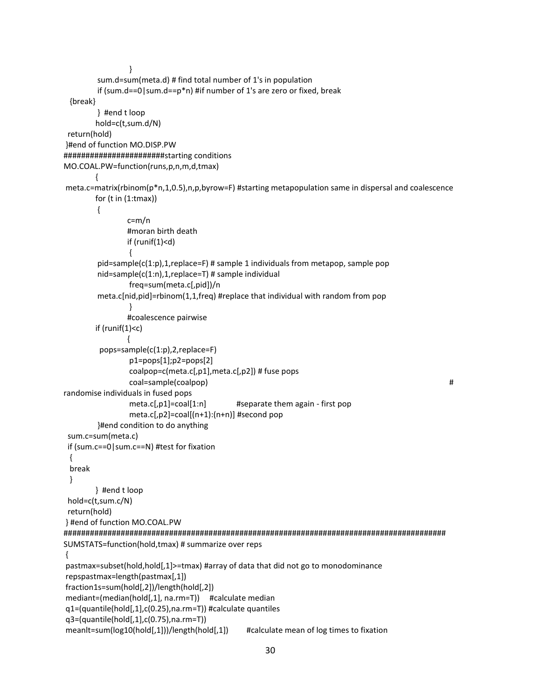```
}
        sum.d=sum(meta.d) # find total number of 1's in population
        if (sum.d==0|sum.d==p*n) #if number of 1's are zero or fixed, break
  {break}
        } #end t loop
        hold=c(t,sum.d/N) 
 return(hold)
}#end of function MO.DISP.PW
#######################starting conditions
MO.COAL.PW=function(runs,p,n,m,d,tmax)
        {
meta.c=matrix(rbinom(p*n,1,0.5),n,p,byrow=F) #starting metapopulation same in dispersal and coalescence
        for (t \in (1:tmax)){
                c=m/n
                #moran birth death
                if (runif(1)<d)
                {
        pid=sample(c(1:p),1,replace=F) # sample 1 individuals from metapop, sample pop
        nid=sample(c(1:n),1,replace=T) # sample individual
                freq=sum(meta.c[,pid])/n
        meta.c[nid,pid]=rbinom(1,1,freq) #replace that individual with random from pop
                }
                #coalescence pairwise
        if (runif(1)<c)
                {
          pops=sample(c(1:p),2,replace=F)
                p1=pops[1];p2=pops[2]
                coalpop=c(meta.c[,p1],meta.c[,p2]) # fuse pops 
                coal=sample(coalpop) # 
randomise individuals in fused pops
                meta.c[,p1]=coal[1:n] #separate them again - first pop
                 meta.c[,p2]=coal[(n+1):(n+n)] #second pop
        }#end condition to do anything
 sum.c=sum(meta.c) 
 if (sum.c==0|sum.c==N) #test for fixation
  { 
  break
  } 
        } #end t loop
 hold=c(t,sum.c/N)
 return(hold)
} #end of function MO.COAL.PW
#######################################################################################
SUMSTATS=function(hold,tmax) # summarize over reps
{
pastmax=subset(hold,hold[,1]>=tmax) #array of data that did not go to monodominance
repspastmax=length(pastmax[,1])
fraction1s=sum(hold[,2])/length(hold[,2])
mediant=(median(hold[,1], na.rm=T)) #calculate median
q1=(quantile(hold[,1],c(0.25),na.rm=T)) #calculate quantiles
q3=(quantile(hold[,1],c(0.75),na.rm=T))
meanlt=sum(log10(hold[,1]))/length(hold[,1]) #calculate mean of log times to fixation
```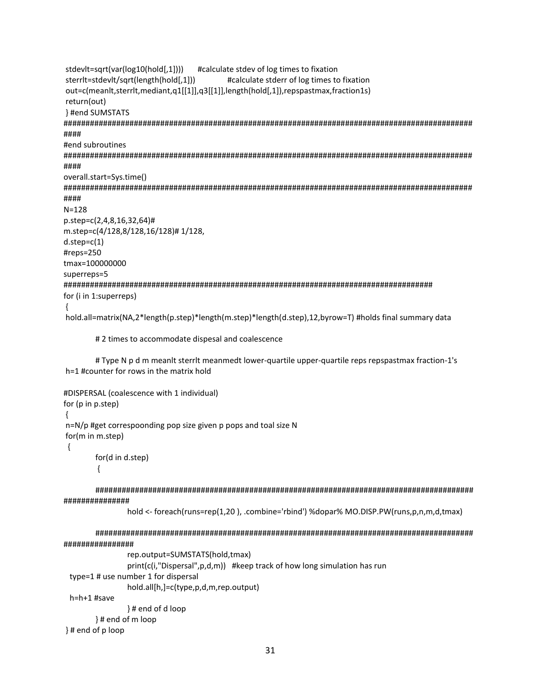stdevit=sqrt(var(log10(hold[,1]))) #calculate stdev of log times to fixation sterrit=stdevit/sqrt(length(hold[,1])) #calculate stderr of log times to fixation out=c(meanlt,sterrlt,mediant,q1[[1]],q3[[1]],length(hold[,1]),repspastmax,fraction1s) return(out) } #end SUMSTATS #### #end subroutines #### overall.start=Sys.time() ####  $N = 128$ p.step=c(2,4,8,16,32,64)# m.step=c(4/128,8/128,16/128)# 1/128,  $d.step=c(1)$ #reps=250 tmax=100000000 superreps=5 for (i in 1:superreps)  $\{$ hold.all=matrix(NA,2\*length(p.step)\*length(m.step)\*length(d.step),12,byrow=T)#holds final summary data

# 2 times to accommodate dispesal and coalescence

# Type N p d m meanlt sterrlt meanmedt lower-quartile upper-quartile reps repspastmax fraction-1's h=1 #counter for rows in the matrix hold

```
#DISPERSAL (coalescence with 1 individual)
for (p in p.step)
\{n=N/p #get correspoonding pop size given p pops and toal size N
for(m in m.step)
\{for(d in d.step)
         \{
```
##############

hold <- foreach(runs=rep(1,20), .combine='rbind') %dopar% MO.DISP.PW(runs,p,n,m,d,tmax)

```
################
           rep.output=SUMSTATS(hold,tmax)
           print(c(i,"Dispersal",p,d,m)) #keep track of how long simulation has run
 type=1 # use number 1 for dispersal
           hold.all[h,]=c(type,p,d,m,rep.output)
```
 $h=h+1$ #save

}#end of d loop

```
}# end of m loop
```
}# end of p loop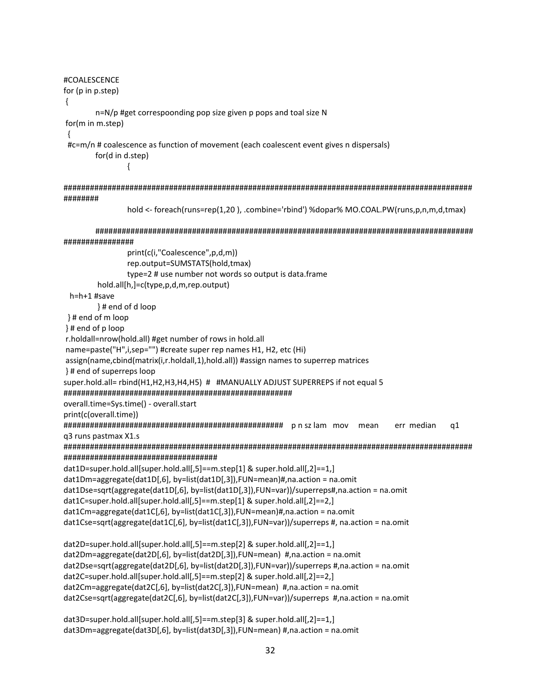#COALESCENCE for  $(p \in p \text{.step})$  $\{$ n=N/p #get correspoonding pop size given p pops and toal size N for(m in m.step) #c=m/n # coalescence as function of movement (each coalescent event gives n dispersals) for(d in d.step)  $\{$ ######## hold <- foreach(runs=rep(1,20), .combine='rbind')%dopar% MO.COAL.PW(runs,p,n,m,d,tmax) ################ print(c(i,"Coalescence",p,d,m)) rep.output=SUMSTATS(hold,tmax) type=2 # use number not words so output is data.frame hold.all[h,]=c(type,p,d,m,rep.output) h=h+1 #save }# end of d loop }# end of m loop  $\}$ # end of p loop r.holdall=nrow(hold.all) #get number of rows in hold.all name=paste("H",i,sep="") #create super rep names H1, H2, etc (Hi) assign(name,cbind(matrix(i,r.holdall,1),hold.all)) #assign names to superrep matrices }# end of superreps loop super.hold.all= rbind(H1,H2,H3,H4,H5) # #MANUALLY ADJUST SUPERREPS if not equal 5 overall.time=Sys.time() - overall.start print(c(overall.time)) err median q1 q3 runs pastmax X1.s dat1D=super.hold.all[super.hold.all[,5]==m.step[1] & super.hold.all[,2]==1,] dat1Dm=aggregate(dat1D[,6], by=list(dat1D[,3]),FUN=mean)#,na.action = na.omit dat1Dse=sqrt(aggregate(dat1D[,6], by=list(dat1D[,3]),FUN=var))/superreps#,na.action = na.omit dat1C=super.hold.all[super.hold.all[,5]==m.step[1] & super.hold.all[,2]==2,] dat1Cm=aggregate(dat1C[,6], by=list(dat1C[,3]),FUN=mean)#,na.action = na.omit dat1Cse=sqrt(aggregate(dat1C[,6], by=list(dat1C[,3]),FUN=var))/superreps #, na.action = na.omit dat2D=super.hold.all[super.hold.all[,5]==m.step[2] & super.hold.all[,2]==1,] dat2Dm=aggregate(dat2D[,6], by=list(dat2D[,3]),FUN=mean) #,na.action = na.omit dat2Dse=sqrt(aggregate(dat2D[,6], by=list(dat2D[,3]),FUN=var))/superreps #,na.action = na.omit dat2C=super.hold.all[super.hold.all[,5]==m.step[2] & super.hold.all[,2]==2,] dat2Cm=aggregate(dat2C[,6], by=list(dat2C[,3]),FUN=mean) #,na.action = na.omit dat2Cse=sqrt(aggregate(dat2C[,6], by=list(dat2C[,3]),FUN=var))/superreps #,na.action = na.omit

dat3D=super.hold.all[super.hold.all[,5]==m.step[3] & super.hold.all[,2]==1,] dat3Dm=aggregate(dat3D[,6], by=list(dat3D[,3]),FUN=mean) #,na.action = na.omit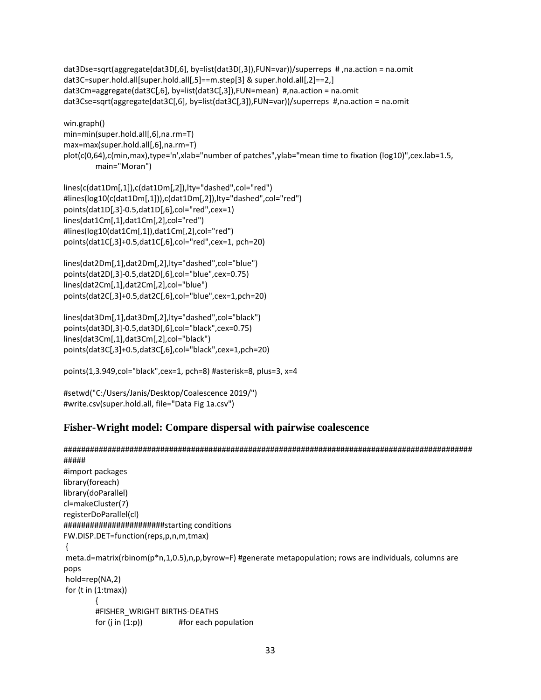```
dat3Dse=sqrt(aggregate(dat3D[,6], by=list(dat3D[,3]),FUN=var))/superreps # ,na.action = na.omit
dat3C=super.hold.all[super.hold.all[,5]==m.step[3] & super.hold.all[,2]==2,]
dat3Cm=aggregate(dat3C[,6], by=list(dat3C[,3]),FUN=mean) #,na.action = na.omit
dat3Cse=sqrt(aggregate(dat3C[,6], by=list(dat3C[,3]),FUN=var))/superreps #,na.action = na.omit
```

```
win.graph()
min=min(super.hold.all[,6],na.rm=T)
max=max(super.hold.all[,6],na.rm=T)
plot(c(0,64),c(min,max),type='n',xlab="number of patches",ylab="mean time to fixation (log10)",cex.lab=1.5,
        main="Moran")
```

```
lines(c(dat1Dm[,1]),c(dat1Dm[,2]),lty="dashed",col="red") 
#lines(log10(c(dat1Dm[,1])),c(dat1Dm[,2]),lty="dashed",col="red") 
points(dat1D[,3]-0.5,dat1D[,6],col="red",cex=1)
lines(dat1Cm[,1],dat1Cm[,2],col="red") 
#lines(log10(dat1Cm[,1]),dat1Cm[,2],col="red") 
points(dat1C[,3]+0.5,dat1C[,6],col="red",cex=1, pch=20)
```

```
lines(dat2Dm[,1],dat2Dm[,2],lty="dashed",col="blue") 
points(dat2D[,3]-0.5,dat2D[,6],col="blue",cex=0.75)
lines(dat2Cm[,1],dat2Cm[,2],col="blue") 
points(dat2C[,3]+0.5,dat2C[,6],col="blue",cex=1,pch=20)
```

```
lines(dat3Dm[,1],dat3Dm[,2],lty="dashed",col="black") 
points(dat3D[,3]-0.5,dat3D[,6],col="black",cex=0.75)
lines(dat3Cm[,1],dat3Cm[,2],col="black") 
points(dat3C[,3]+0.5,dat3C[,6],col="black",cex=1,pch=20)
```
points(1,3.949,col="black",cex=1, pch=8) #asterisk=8, plus=3, x=4

#setwd("C:/Users/Janis/Desktop/Coalescence 2019/") #write.csv(super.hold.all, file="Data Fig 1a.csv")

## **Fisher-Wright model: Compare dispersal with pairwise coalescence**

```
#############################################################################################
#####
#import packages
library(foreach)
library(doParallel)
cl=makeCluster(7)
registerDoParallel(cl)
#######################starting conditions
FW.DISP.DET=function(reps,p,n,m,tmax)
{
meta.d=matrix(rbinom(p*n,1,0.5),n,p,byrow=F) #generate metapopulation; rows are individuals, columns are 
pops
hold=rep(NA,2)
for (t \in (1:tmax)){
        #FISHER_WRIGHT BIRTHS-DEATHS
        for (j \in (1:p)) #for each population
```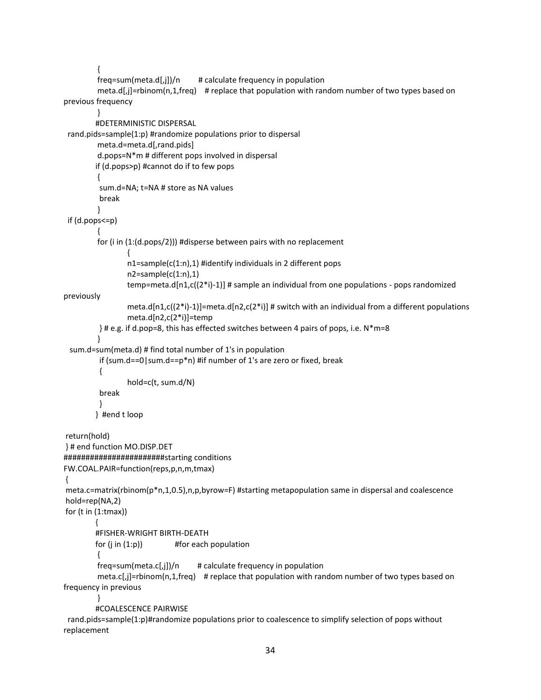```
{
         freq = sum(meta.d[j])/n # calculate frequency in population
         meta.d[,j]=rbinom(n,1,freq) # replace that population with random number of two types based on 
previous frequency 
         }
        #DETERMINISTIC DISPERSAL
  rand.pids=sample(1:p) #randomize populations prior to dispersal 
         meta.d=meta.d[,rand.pids]
         d.pops=N*m # different pops involved in dispersal
        if (d.pops>p) #cannot do if to few pops
         {
          sum.d=NA; t=NA # store as NA values
          break 
         }
 if (d.pops<=p)
         {
         for (i in (1:(d.pops/2))) #disperse between pairs with no replacement
                 {
                 n1=sample(c(1:n),1) #identify individuals in 2 different pops 
                 n2=sample(c(1:n),1)temp=meta.d[n1,c((2^*)-1]] # sample an individual from one populations - pops randomized
previously
                 meta.d[n1,c((2*i)-1)]=meta.d[n2,c(2*i)] # switch with an individual from a different populations
                 meta.d[n2,c(2*i)]=temp
          } # e.g. if d.pop=8, this has effected switches between 4 pairs of pops, i.e. N*m=8
         }
  sum.d=sum(meta.d) # find total number of 1's in population
          if (sum.d==0|sum.d==p*n) #if number of 1's are zero or fixed, break
          {
                 hold=c(t, sum.d/N)
          break
          }
        } #end t loop
return(hold)
} # end function MO.DISP.DET
#######################starting conditions
FW.COAL.PAIR=function(reps,p,n,m,tmax)
{
meta.c=matrix(rbinom(p*n,1,0.5),n,p,byrow=F) #starting metapopulation same in dispersal and coalescence
hold=rep(NA,2)
for (t \in (1:tmax)){
        #FISHER-WRIGHT BIRTH-DEATH
        for (j \in (1:p)) #for each population
         {
         freq = sum(meta.c[j])/n # calculate frequency in population
         meta.c[,j]=rbinom(n,1,freq) # replace that population with random number of two types based on
frequency in previous
         }
        #COALESCENCE PAIRWISE
  rand.pids=sample(1:p)#randomize populations prior to coalescence to simplify selection of pops without
```

```
replacement
```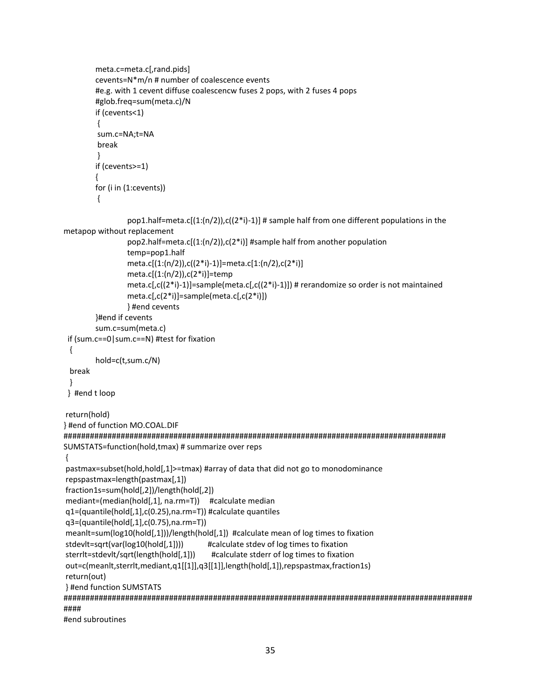```
meta.c=meta.c[,rand.pids]
        cevents=N*m/n # number of coalescence events 
        #e.g. with 1 cevent diffuse coalescencw fuses 2 pops, with 2 fuses 4 pops
        #glob.freq=sum(meta.c)/N
        if (cevents<1)
        {
         sum.c=NA;t=NA
         break 
        }
        if (cevents>=1)
        {
        for (i in (1:cevents))
         {
                 pop1.half=meta.c[(1:(n/2)),c((2*i)-1)] # sample half from one different populations in the 
metapop without replacement
                 pop2.half=meta.c[(1:(n/2)),c(2*i)] #sample half from another population
                 temp=pop1.half
                 meta.c[(1:(n/2)),c((2*i)-1)]=meta.c[1:(n/2),c(2*i)] 
                 meta.c[(1:(n/2)),c(2^*i)]=temp
                 meta.c[,c((2*i)-1)]=sample(meta.c[,c((2*i)-1)]) # rerandomize so order is not maintained
                 meta.c[,c(2*i)]=sample(meta.c[,c(2*i)])
                 } #end cevents
        }#end if cevents 
        sum.c=sum(meta.c) 
 if (sum.c==0|sum.c==N) #test for fixation
  {
         hold=c(t,sum.c/N) 
  break
  } 
 } #end t loop
return(hold)
} #end of function MO.COAL.DIF
#######################################################################################
SUMSTATS=function(hold,tmax) # summarize over reps
pastmax=subset(hold,hold[,1]>=tmax) #array of data that did not go to monodominance
repspastmax=length(pastmax[,1])
fraction1s=sum(hold[,2])/length(hold[,2])
mediant=(median(hold[,1], na.rm=T)) #calculate median
q1=(quantile(hold[,1],c(0.25),na.rm=T)) #calculate quantiles
q3=(quantile(hold[,1],c(0.75),na.rm=T))
meanlt=sum(log10(hold[,1]))/length(hold[,1]) #calculate mean of log times to fixation
stdevlt=sqrt(var(log10(hold[,1]))) #calculate stdev of log times to fixation
sterrlt=stdevlt/sqrt(length(hold[,1])) #calculate stderr of log times to fixation
out=c(meanlt,sterrlt,mediant,q1[[1]],q3[[1]],length(hold[,1]),repspastmax,fraction1s)
return(out)
} #end function SUMSTATS
#############################################################################################
####
```

```
#end subroutines
```
{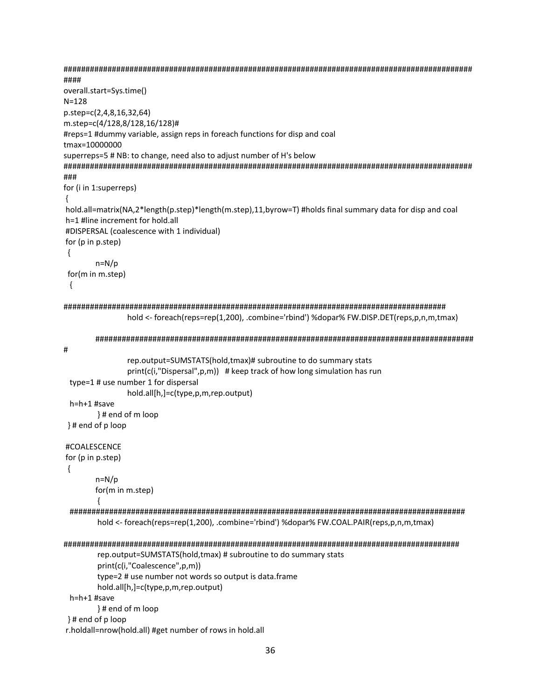```
####
overall.start=Sys.time()
N = 128p.step=c(2,4,8,16,32,64)
m.step=c(4/128,8/128,16/128)#
#reps=1 #dummy variable, assign reps in foreach functions for disp and coal
tmax=10000000
superreps=5 # NB: to change, need also to adjust number of H's below
###
for (i in 1:superreps)
\{hold.all=matrix(NA,2*length(p.step)*length(m.step),11,byrow=T) #holds final summary data for disp and coal
h=1 #line increment for hold.all
#DISPERSAL (coalescence with 1 individual)
for (p in p.step)
\{n=N/pfor(m in m.step)
\{hold <- foreach(reps=rep(1,200), .combine='rbind') %dopar% FW.DISP.DET(reps,p,n,m,tmax)
     #rep.output=SUMSTATS(hold,tmax)# subroutine to do summary stats
           print(c(i,"Dispersal",p,m)) # keep track of how long simulation has run
 type=1# use number 1 for dispersal
           hold.all[h,]=c(type,p,m,rep.output)
 h=h+1 #save
      }# end of m loop
}# end of p loop
#COALESCENCE
for (p in p.step)
\{n=N/pfor(m in m.step)
      ₹
 hold <- foreach(reps=rep(1,200), .combine='rbind') %dopar% FW.COAL.PAIR(reps,p,n,m,tmax)
rep.output=SUMSTATS(hold,tmax) # subroutine to do summary stats
      print(c(i,"Coalescence",p,m))
      type=2 # use number not words so output is data.frame
      hold.all[h,]=c(type,p,m,rep.output)
 h=h+1#save
      }# end of m loop
}# end of p loop
r.holdall=nrow(hold.all) #get number of rows in hold.all
```

```
36
```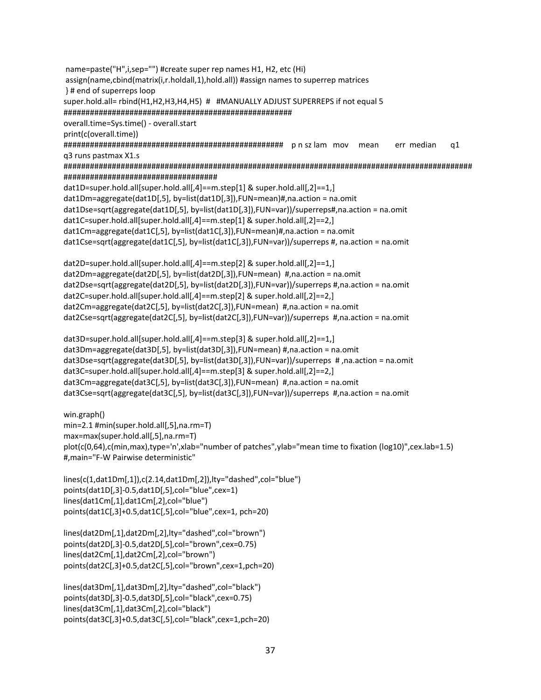name=paste("H",i,sep="") #create super rep names H1, H2, etc (Hi) assign(name,cbind(matrix(i,r.holdall,1),hold.all)) #assign names to superrep matrices }# end of superreps loop super.hold.all= rbind(H1,H2,H3,H4,H5) # #MANUALLY ADJUST SUPERREPS if not equal 5 overall.time=Sys.time() - overall.start print(c(overall.time)) err median  $q1$ q3 runs pastmax X1.s dat1D=super.hold.all[super.hold.all[,4]==m.step[1] & super.hold.all[,2]==1,] dat1Dm=aggregate(dat1D[,5], by=list(dat1D[,3]),FUN=mean)#,na.action = na.omit dat1Dse=sqrt(aggregate(dat1D[,5], by=list(dat1D[,3]),FUN=var))/superreps#,na.action = na.omit dat1C=super.hold.all[super.hold.all[,4]==m.step[1] & super.hold.all[,2]==2,] dat1Cm=aggregate(dat1C[,5], by=list(dat1C[,3]),FUN=mean)#,na.action = na.omit dat1Cse=sqrt(aggregate(dat1C[,5], by=list(dat1C[,3]),FUN=var))/superreps #, na.action = na.omit dat2D=super.hold.all[super.hold.all[,4]==m.step[2] & super.hold.all[,2]==1,] dat2Dm=aggregate(dat2D[,5], by=list(dat2D[,3]),FUN=mean) #,na.action = na.omit dat2Dse=sqrt(aggregate(dat2D[,5], by=list(dat2D[,3]),FUN=var))/superreps #,na.action = na.omit dat2C=super.hold.all[super.hold.all[,4]==m.step[2] & super.hold.all[,2]==2,] dat2Cm=aggregate(dat2C[,5], by=list(dat2C[,3]),FUN=mean) #,na.action = na.omit dat2Cse=sqrt(aggregate(dat2C[,5], by=list(dat2C[,3]),FUN=var))/superreps #,na.action = na.omit dat3D=super.hold.all[super.hold.all[,4]==m.step[3] & super.hold.all[,2]==1,] dat3Dm=aggregate(dat3D[,5], by=list(dat3D[,3]),FUN=mean) #,na.action = na.omit dat3Dse=sqrt(aggregate(dat3D[,5], by=list(dat3D[,3]),FUN=var))/superreps #,na.action = na.omit dat3C=super.hold.all[super.hold.all[,4]==m.step[3] & super.hold.all[,2]==2,] dat3Cm=aggregate(dat3C[,5], by=list(dat3C[,3]),FUN=mean) #,na.action = na.omit dat3Cse=sqrt(aggregate(dat3C[,5], by=list(dat3C[,3]),FUN=var))/superreps #,na.action = na.omit win.graph()  $min=2.1$ #min(super.hold.all[,5],na.rm=T) max=max(super.hold.all[,5],na.rm=T) plot(c(0,64),c(min,max),type='n',xlab="number of patches",ylab="mean time to fixation (log10)",cex.lab=1.5) #,main="F-W Pairwise deterministic" lines(c(1,dat1Dm[,1]),c(2.14,dat1Dm[,2]),lty="dashed",col="blue")

points(dat1D[,3]-0.5,dat1D[,5],col="blue",cex=1) lines(dat1Cm[,1],dat1Cm[,2],col="blue") points(dat1C[,3]+0.5,dat1C[,5],col="blue",cex=1, pch=20)

lines(dat2Dm[,1],dat2Dm[,2],lty="dashed",col="brown") points(dat2D[,3]-0.5,dat2D[,5],col="brown",cex=0.75) lines(dat2Cm[,1],dat2Cm[,2],col="brown") points(dat2C[,3]+0.5,dat2C[,5],col="brown",cex=1,pch=20)

lines(dat3Dm[,1],dat3Dm[,2],lty="dashed",col="black") points(dat3D[,3]-0.5,dat3D[,5],col="black",cex=0.75) lines(dat3Cm[,1],dat3Cm[,2],col="black") points(dat3C[,3]+0.5,dat3C[,5],col="black",cex=1,pch=20)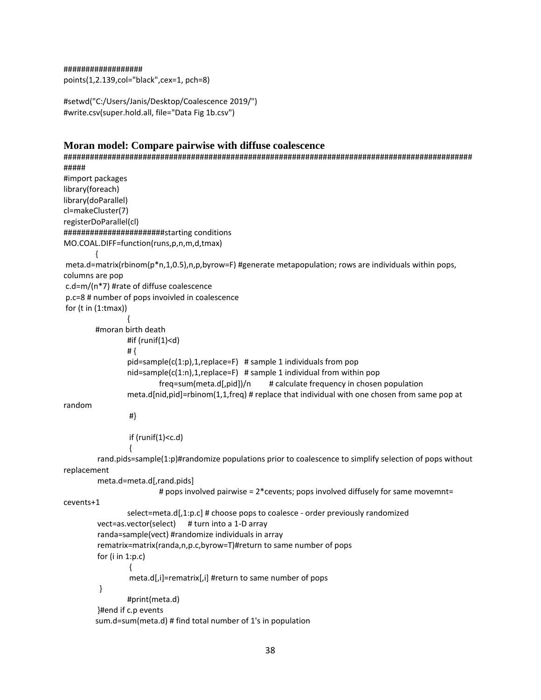##################

points(1,2.139,col="black",cex=1, pch=8)

#setwd("C:/Users/Janis/Desktop/Coalescence 2019/") #write.csv(super.hold.all, file="Data Fig 1b.csv")

### **Moran model: Compare pairwise with diffuse coalescence**

```
#############################################################################################
#####
#import packages
library(foreach)
library(doParallel)
cl=makeCluster(7)
registerDoParallel(cl)
#######################starting conditions
MO.COAL.DIFF=function(runs,p,n,m,d,tmax)
        {
meta.d=matrix(rbinom(p*n,1,0.5),n,p,byrow=F) #generate metapopulation; rows are individuals within pops,
columns are pop
c.d=m/(n*7) #rate of diffuse coalescence
p.c=8 # number of pops invoivled in coalescence
for (t \in (1:tmax)){
        #moran birth death
                 #if (runif(1)<d)
                # {
                 pid = sample(c(1:p), 1, replace = F) # sample 1 individuals from pop
                 nid=sample(c(1:n),1,replace=F) # sample 1 individual from within pop
                         freq=sum(meta.d[,pid])/n # calculate frequency in chosen population
                 meta.d[nid,pid]=rbinom(1,1,freq) # replace that individual with one chosen from same pop at 
random
                 #}
                 if (runif(1)<c.d)
                  {
         rand.pids=sample(1:p)#randomize populations prior to coalescence to simplify selection of pops without
replacement
         meta.d=meta.d[,rand.pids]
                         # pops involved pairwise = 2*cevents; pops involved diffusely for same movemnt= 
cevents+1
                 select=meta.d[,1:p.c] # choose pops to coalesce - order previously randomized 
         vect=as.vector(select) # turn into a 1-D array
         randa=sample(vect) #randomize individuals in array
         rematrix=matrix(randa,n,p.c,byrow=T)#return to same number of pops
         for (i in 1:p.c)
                 {
                 meta.d[,i]=rematrix[,i] #return to same number of pops
          }
                 #print(meta.d)
         }#end if c.p events 
        sum.d=sum(meta.d) # find total number of 1's in population
```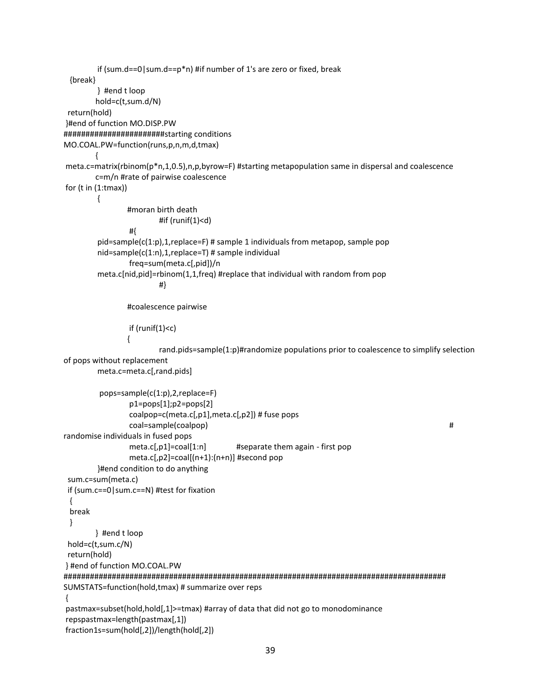```
if (sum.d==0|sum.d==p*n) #if number of 1's are zero or fixed, break
  {break}
        } #end t loop
        hold=c(t,sum.d/N) 
 return(hold)
}#end of function MO.DISP.PW
#######################starting conditions
MO.COAL.PW=function(runs,p,n,m,d,tmax)
        {
meta.c=matrix(rbinom(p*n,1,0.5),n,p,byrow=F) #starting metapopulation same in dispersal and coalescence
        c=m/n #rate of pairwise coalescence
for (t in (1:tmax))
        {
                #moran birth death
                        #if (runif(1)<d)
                #{
        pid=sample(c(1:p),1,replace=F) # sample 1 individuals from metapop, sample pop
        nid=sample(c(1:n),1,replace=T) # sample individual
                freq=sum(meta.c[,pid])/n
        meta.c[nid,pid]=rbinom(1,1,freq) #replace that individual with random from pop
                        #}
                #coalescence pairwise
                if (runif(1)<c)
                {
                        rand.pids=sample(1:p)#randomize populations prior to coalescence to simplify selection 
of pops without replacement
        meta.c=meta.c[,rand.pids]
          pops=sample(c(1:p),2,replace=F)
                p1=pops[1];p2=pops[2]
                coalpop=c(meta.c[,p1],meta.c[,p2]) # fuse pops 
                coal=sample(coalpop) # 
randomise individuals in fused pops
                meta.c[,p1]=coal[1:n] #separate them again - first pop
                meta.c[,p2]=coal[(n+1):(n+n)] #second pop
        }#end condition to do anything
 sum.c=sum(meta.c) 
  if (sum.c==0|sum.c==N) #test for fixation
  { 
  break
  } 
        } #end t loop
 hold=c(t,sum.c/N)
 return(hold)
} #end of function MO.COAL.PW
#######################################################################################
SUMSTATS=function(hold,tmax) # summarize over reps
{
pastmax=subset(hold,hold[,1]>=tmax) #array of data that did not go to monodominance
repspastmax=length(pastmax[,1])
fraction1s=sum(hold[,2])/length(hold[,2])
```

```
39
```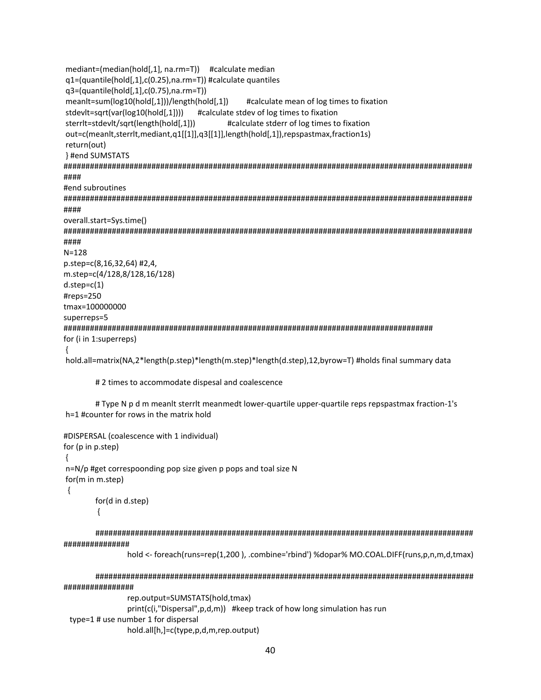```
mediant=(median(hold[,1], na.rm=T)) #calculate median
q1=(quantile(hold[,1],c(0.25),na.rm=T)) #calculate quantiles
q3=(quantile(hold[,1],c(0.75),na.rm=T))meanIt=sum(log10(hold[,1]))/length(hold[,1])
                                #calculate mean of log times to fixation
stdevlt=sqrt(var(log10(hold[,1]))) #calculate stdev of log times to fixation
                            #calculate stderr of log times to fixation
sterrit=stdevit/sqrt(length(hold[,1]))
out=c(meanlt,sterrlt,mediant,q1[[1]],q3[[1]],length(hold[,1]),repspastmax,fraction1s)
return(out)
} #end SUMSTATS
####
#end subroutines
####
overall.start=Sys.time()
####
N = 128p.step=c(8,16,32,64) #2,4,
m.step=c(4/128,8/128,16/128)
d.step=c(1)#reps=250
tmax=100000000
superreps=5
for (i in 1:superreps)
\{hold.all=matrix(NA,2*length(p.step)*length(m.step)*length(d.step),12,byrow=T) #holds final summary data
```
#### # 2 times to accommodate dispesal and coalescence

# Type N p d m meanlt sterrlt meanmedt lower-quartile upper-quartile reps repspastmax fraction-1's h=1 #counter for rows in the matrix hold

```
#DISPERSAL (coalescence with 1 individual)
for (p in p.step)
\{n=N/p #get correspoonding pop size given p pops and toal size N
for(m in m.step)
\{for(d in d.step)
         \{
```
###############

hold <- foreach(runs=rep(1,200), .combine='rbind')%dopar% MO.COAL.DIFF(runs,p,n,m,d,tmax)

################

rep.output=SUMSTATS(hold,tmax) print(c(i,"Dispersal",p,d,m)) #keep track of how long simulation has run type=1 # use number 1 for dispersal hold.all[h,]=c(type,p,d,m,rep.output)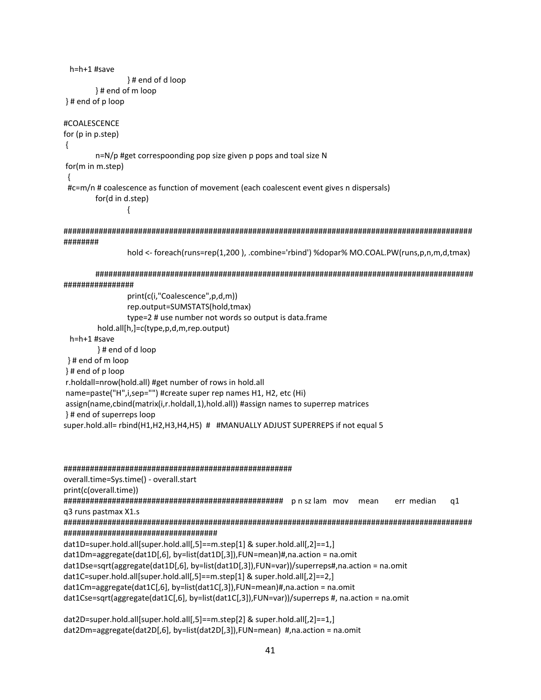```
h=h+1 #save
             }# end of d loop
      }# end of m loop
}# end of p loop
#COALESCENCE
for (p in p.step)
\{n=N/p #get correspoonding pop size given p pops and toal size N
for(m in m.step)
#c=m/n # coalescence as function of movement (each coalescent event gives n dispersals)
       for(d in d.step)
             \{########
             hold <- foreach(runs=rep(1,200), .combine='rbind')%dopar% MO.COAL.PW(runs,p,n,m,d,tmax)
      ################
             print(c(i,"Coalescence",p,d,m))
             rep.output=SUMSTATS(hold,tmax)
              type=2 # use number not words so output is data.frame
       hold.all[h,]=c(type,p,d,m,rep.output)
 h=h+1 #save
       }# end of d loop
}# end of m loop
\}# end of p loop
r.holdall=nrow(hold.all) #get number of rows in hold.all
name=paste("H",i,sep="") #create super rep names H1, H2, etc (Hi)
assign(name,cbind(matrix(i,r.holdall,1),hold.all)) #assign names to superrep matrices
}# end of superreps loop
super.hold.all= rbind(H1,H2,H3,H4,H5) # #MANUALLY ADJUST SUPERREPS if not equal 5
```

```
overall.time=Sys.time() - overall.start
print(c(overall.time))
mean
                                                            err median
                                                                      q1q3 runs pastmax X1.s
dat1D=super.hold.all[super.hold.all[,5]==m.step[1] & super.hold.all[,2]==1,]
dat1Dm=aggregate(dat1D[,6], by=list(dat1D[,3]),FUN=mean)#,na.action = na.omit
dat1Dse=sqrt(aggregate(dat1D[,6], by=list(dat1D[,3]),FUN=var))/superreps#,na.action = na.omit
dat1C=super.hold.all[super.hold.all[,5]==m.step[1] & super.hold.all[,2]==2,]
dat1Cm=aggregate(dat1C[,6], by=list(dat1C[,3]),FUN=mean)#,na.action = na.omit
dat1Cse=sqrt(aggregate(dat1C[,6], by=list(dat1C[,3]),FUN=var))/superreps #, na.action = na.omit
```
dat2D=super.hold.all[super.hold.all[,5]==m.step[2] & super.hold.all[,2]==1,] dat2Dm=aggregate(dat2D[,6], by=list(dat2D[,3]),FUN=mean) #,na.action = na.omit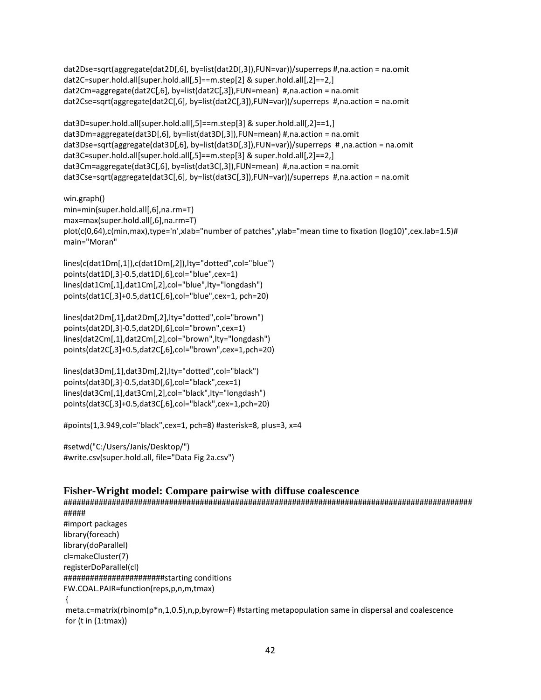```
dat2Dse=sqrt(aggregate(dat2D[,6], by=list(dat2D[,3]),FUN=var))/superreps #,na.action = na.omit
dat2C=super.hold.all[super.hold.all[,5]==m.step[2] & super.hold.all[,2]==2,]
dat2Cm=aggregate(dat2C[,6], by=list(dat2C[,3]),FUN=mean) #,na.action = na.omit 
dat2Cse=sqrt(aggregate(dat2C[,6], by=list(dat2C[,3]),FUN=var))/superreps #,na.action = na.omit
```

```
dat3D=super.hold.all[super.hold.all[,5]==m.step[3] & super.hold.all[,2]==1,]
dat3Dm=aggregate(dat3D[,6], by=list(dat3D[,3]),FUN=mean) #,na.action = na.omit
dat3Dse=sqrt(aggregate(dat3D[,6], by=list(dat3D[,3]),FUN=var))/superreps # ,na.action = na.omit
dat3C=super.hold.all[super.hold.all[,5]==m.step[3] & super.hold.all[,2]==2,]
dat3Cm=aggregate(dat3C[,6], by=list(dat3C[,3]),FUN=mean) #,na.action = na.omit
dat3Cse=sqrt(aggregate(dat3C[,6], by=list(dat3C[,3]),FUN=var))/superreps #,na.action = na.omit
```
win.graph() min=min(super.hold.all[,6],na.rm=T) max=max(super.hold.all[,6],na.rm=T) plot(c(0,64),c(min,max),type='n',xlab="number of patches",ylab="mean time to fixation (log10)",cex.lab=1.5)# main="Moran"

```
lines(c(dat1Dm[,1]),c(dat1Dm[,2]),lty="dotted",col="blue") 
points(dat1D[,3]-0.5,dat1D[,6],col="blue",cex=1)
lines(dat1Cm[,1],dat1Cm[,2],col="blue",lty="longdash") 
points(dat1C[,3]+0.5,dat1C[,6],col="blue",cex=1, pch=20)
```

```
lines(dat2Dm[,1],dat2Dm[,2],lty="dotted",col="brown") 
points(dat2D[,3]-0.5,dat2D[,6],col="brown",cex=1)
lines(dat2Cm[,1],dat2Cm[,2],col="brown",lty="longdash") 
points(dat2C[,3]+0.5,dat2C[,6],col="brown",cex=1,pch=20)
```

```
lines(dat3Dm[,1],dat3Dm[,2],lty="dotted",col="black") 
points(dat3D[,3]-0.5,dat3D[,6],col="black",cex=1)
lines(dat3Cm[,1],dat3Cm[,2],col="black",lty="longdash") 
points(dat3C[,3]+0.5,dat3C[,6],col="black",cex=1,pch=20)
```
#points(1,3.949,col="black",cex=1, pch=8) #asterisk=8, plus=3, x=4

#setwd("C:/Users/Janis/Desktop/") #write.csv(super.hold.all, file="Data Fig 2a.csv")

for  $(t \in (1:tmax))$ 

## **Fisher-Wright model: Compare pairwise with diffuse coalescence**

############################################################################################# ##### #import packages library(foreach) library(doParallel) cl=makeCluster(7) registerDoParallel(cl) #######################starting conditions FW.COAL.PAIR=function(reps,p,n,m,tmax) { meta.c=matrix(rbinom(p\*n,1,0.5),n,p,byrow=F) #starting metapopulation same in dispersal and coalescence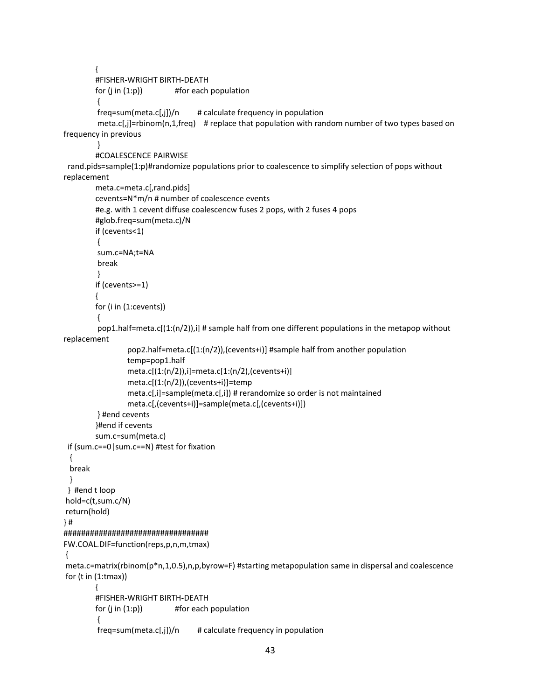```
{
        #FISHER-WRIGHT BIRTH-DEATH
        for (i \text{ in } (1:p)) #for each population
         {
         freq=sum(meta.c[,j])/n # calculate frequency in population
         meta.c[,j]=rbinom(n,1,freq) # replace that population with random number of two types based on
frequency in previous
         }
        #COALESCENCE PAIRWISE
rand.pids=sample(1:p)#randomize populations prior to coalescence to simplify selection of pops without
replacement
        meta.c=meta.c[,rand.pids]
        cevents=N*m/n # number of coalescence events 
        #e.g. with 1 cevent diffuse coalescencw fuses 2 pops, with 2 fuses 4 pops
        #glob.freq=sum(meta.c)/N
        if (cevents<1)
         {
         sum.c=NA;t=NA
         break 
         }
        if (cevents>=1)
        {
        for (i in (1:cevents))
         {
         pop1.half=meta.c[(1:(n/2)),i] # sample half from one different populations in the metapop without 
replacement
                 pop2.half=meta.c[(1:(n/2)),(cevents+i)] #sample half from another population
                 temp=pop1.half
                 meta.c[(1:(n/2)),i]=meta.c[1:(n/2),(cevents+i)] 
                 meta.c[(1:(n/2)),(cevents+i)]=temp
                 meta.c[,i]=sample(meta.c[,i]) # rerandomize so order is not maintained
                 meta.c[,(cevents+i)]=sample(meta.c[,(cevents+i)])
         } #end cevents
        }#end if cevents 
        sum.c=sum(meta.c) 
 if (sum.c==0|sum.c==N) #test for fixation
  { 
  break
  } 
 } #end t loop
hold=c(t,sum.c/N)
return(hold)
} #
#################################
FW.COAL.DIF=function(reps,p,n,m,tmax)
{
meta.c=matrix(rbinom(p*n,1,0.5),n,p,byrow=F) #starting metapopulation same in dispersal and coalescence
for (t \in (1:tmax)){
        #FISHER-WRIGHT BIRTH-DEATH
        for (i \text{ in } (1:p)) #for each population
         {
```

```
freq = sum(meta.c[j])/n # calculate frequency in population
```

```
43
```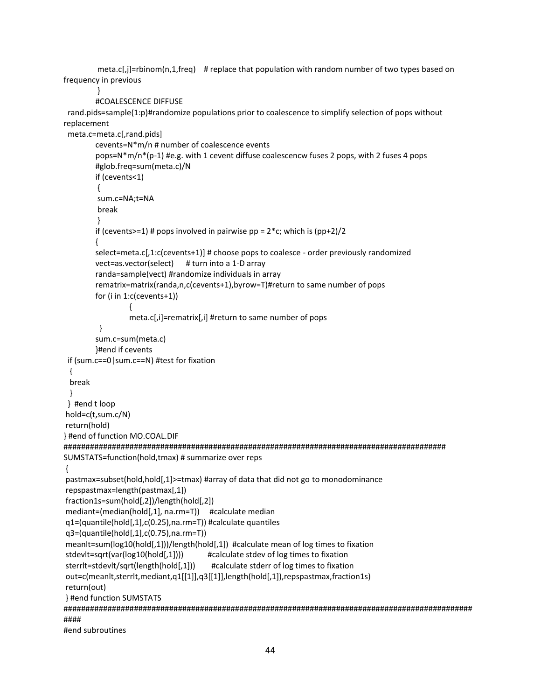meta.c[,j]=rbinom(n,1,freq) # replace that population with random number of two types based on frequency in previous

}

```
#COALESCENCE DIFFUSE
```
 rand.pids=sample(1:p)#randomize populations prior to coalescence to simplify selection of pops without replacement

```
 meta.c=meta.c[,rand.pids]
        cevents=N*m/n # number of coalescence events 
        pops=N*m/n*(p-1) #e.g. with 1 cevent diffuse coalescencw fuses 2 pops, with 2 fuses 4 pops
        #glob.freq=sum(meta.c)/N
        if (cevents<1)
         {
         sum.c=NA;t=NA
         break 
        }
        if (cevents>=1) # pops involved in pairwise pp = 2<sup>*</sup>c; which is (pp+2)/2
        {
        select=meta.c[,1:c(cevents+1)] # choose pops to coalesce - order previously randomized 
        vect=as.vector(select) # turn into a 1-D array
        randa=sample(vect) #randomize individuals in array
        rematrix=matrix(randa,n,c(cevents+1),byrow=T)#return to same number of pops
        for (i in 1:c(cevents+1))
                 {
                 meta.c[,i]=rematrix[,i] #return to same number of pops
          }
        sum.c=sum(meta.c)
        }#end if cevents
  if (sum.c==0|sum.c==N) #test for fixation
  { 
  break
  } 
 } #end t loop
hold=c(t,sum.c/N)
return(hold)
} #end of function MO.COAL.DIF
#######################################################################################
SUMSTATS=function(hold,tmax) # summarize over reps
{
pastmax=subset(hold,hold[,1]>=tmax) #array of data that did not go to monodominance
repspastmax=length(pastmax[,1])
fraction1s=sum(hold[,2])/length(hold[,2])
mediant=(median(hold[,1], na.rm=T)) #calculate median
q1=(quantile(hold[,1],c(0.25),na.rm=T)) #calculate quantiles
q3=(quantile(hold[,1],c(0.75),na.rm=T))
meanlt=sum(log10(hold[,1]))/length(hold[,1]) #calculate mean of log times to fixation
stdevlt=sqrt(var(log10(hold[,1]))) #calculate stdev of log times to fixation
sterrlt=stdevlt/sqrt(length(hold[,1])) #calculate stderr of log times to fixation
out=c(meanlt,sterrlt,mediant,q1[[1]],q3[[1]],length(hold[,1]),repspastmax,fraction1s)
return(out)
} #end function SUMSTATS
#############################################################################################
####
```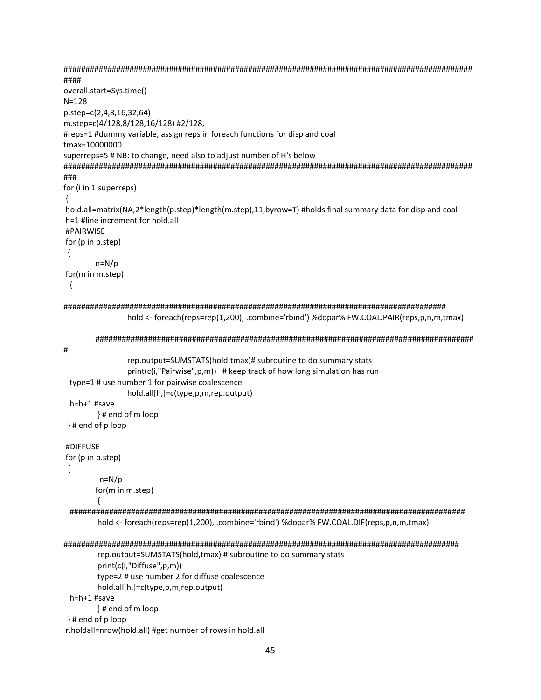```
####
overall.start=Sys.time()
N = 128p.step=c(2,4,8,16,32,64)
m.step=c(4/128,8/128,16/128) #2/128,
#reps=1 #dummy variable, assign reps in foreach functions for disp and coal
tmax=10000000
superreps=5 # NB: to change, need also to adjust number of H's below
###
for (i in 1:superreps)
\{hold.all=matrix(NA,2*length(p.step)*length(m.step),11,byrow=T)#holds final summary data for disp and coal
h=1 #line increment for hold.all
#PAIRWISE
for (p in p.step)
\{n=N/pfor(m in m.step)
\{hold <- foreach(reps=rep(1,200), .combine='rbind') %dopar% FW.COAL.PAIR(reps,p,n,m,tmax)
     #rep.output=SUMSTATS(hold,tmax)# subroutine to do summary stats
           print(c(i,"Pairwise",p,m)) # keep track of how long simulation has run
 type=1# use number 1 for pairwise coalescence
           hold.all[h,]=c(type,p,m,rep.output)
h=h+1 #save
      }# end of m loop
}# end of p loop
#DIFFUSE
for (p in p.step)
\{n=N/pfor(m in m.step)
      ₹
 hold <- foreach(reps=rep(1,200), .combine='rbind') %dopar% FW.COAL.DIF(reps,p,n,m,tmax)
rep.output=SUMSTATS(hold,tmax) # subroutine to do summary stats
      print(c(i,"Diffuse",p,m))
      type=2 # use number 2 for diffuse coalescence
      hold.all[h,]=c(type,p,m,rep.output)
 h=h+1#save
      }# end of m loop
}# end of p loop
r.holdall=nrow(hold.all) #get number of rows in hold.all
```

```
45
```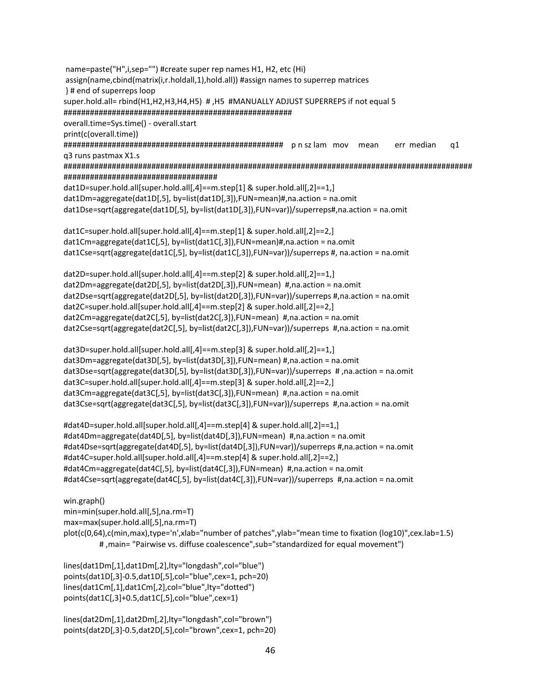name=paste("H",i,sep="") #create super rep names H1, H2, etc (Hi) assign(name,cbind(matrix(i,r.holdall,1),hold.all)) #assign names to superrep matrices }# end of superreps loop super.hold.all= rbind(H1,H2,H3,H4,H5) #,H5 #MANUALLY ADJUST SUPERREPS if not equal 5 overall.time=Sys.time() - overall.start print(c(overall.time)) err median q1 q3 runs pastmax X1.s dat1D=super.hold.all[super.hold.all[,4]==m.step[1] & super.hold.all[,2]==1,] dat1Dm=aggregate(dat1D[,5], by=list(dat1D[,3]),FUN=mean)#,na.action = na.omit dat1Dse=sqrt(aggregate(dat1D[,5], by=list(dat1D[,3]),FUN=var))/superreps#,na.action = na.omit dat1C=super.hold.all[super.hold.all[,4]==m.step[1] & super.hold.all[,2]==2,] dat1Cm=aggregate(dat1C[,5], by=list(dat1C[,3]),FUN=mean)#,na.action = na.omit dat1Cse=sqrt(aggregate(dat1C[,5], by=list(dat1C[,3]),FUN=var))/superreps #, na.action = na.omit dat2D=super.hold.all[super.hold.all[,4]==m.step[2] & super.hold.all[,2]==1,] dat2Dm=aggregate(dat2D[,5], by=list(dat2D[,3]),FUN=mean) #,na.action = na.omit dat2Dse=sqrt(aggregate(dat2D[,5], by=list(dat2D[,3]),FUN=var))/superreps #,na.action = na.omit dat2C=super.hold.all[super.hold.all[,4]==m.step[2] & super.hold.all[,2]==2,] dat2Cm=aggregate(dat2C[,5], by=list(dat2C[,3]),FUN=mean) #,na.action = na.omit dat2Cse=sqrt(aggregate(dat2C[,5], by=list(dat2C[,3]),FUN=var))/superreps #,na.action = na.omit dat3D=super.hold.all[super.hold.all[,4]==m.step[3] & super.hold.all[,2]==1,] dat3Dm=aggregate(dat3D[,5], by=list(dat3D[,3]),FUN=mean) #,na.action = na.omit dat3Dse=sqrt(aggregate(dat3D[,5], by=list(dat3D[,3]),FUN=var))/superreps #,na.action = na.omit dat3C=super.hold.all[super.hold.all[,4]==m.step[3] & super.hold.all[,2]==2,] dat3Cm=aggregate(dat3C[,5], by=list(dat3C[,3]),FUN=mean) #,na.action = na.omit dat3Cse=sqrt(aggregate(dat3C[,5], by=list(dat3C[,3]),FUN=var))/superreps #,na.action = na.omit #dat4D=super.hold.all[super.hold.all[,4]==m.step[4] & super.hold.all[,2]==1,] #dat4Dm=aggregate(dat4D[,5], by=list(dat4D[,3]),FUN=mean) #,na.action = na.omit #dat4Dse=sqrt(aggregate(dat4D[,5], by=list(dat4D[,3]),FUN=var))/superreps #,na.action = na.omit #dat4C=super.hold.all[super.hold.all[,4]==m.step[4] & super.hold.all[,2]==2,] #dat4Cm=aggregate(dat4C[,5], by=list(dat4C[,3]),FUN=mean) #,na.action = na.omit #dat4Cse=sqrt(aggregate(dat4C[,5], by=list(dat4C[,3]),FUN=var))/superreps #,na.action = na.omit win.graph() min=min(super.hold.all[,5],na.rm=T) max=max(super.hold.all[,5],na.rm=T) plot(c(0,64),c(min,max),type='n',xlab="number of patches",ylab="mean time to fixation (log10)",cex.lab=1.5)

# , main= "Pairwise vs. diffuse coalescence", sub="standardized for equal movement")

lines(dat1Dm[,1],dat1Dm[,2],lty="longdash",col="blue") points(dat1D[,3]-0.5,dat1D[,5],col="blue",cex=1, pch=20) lines(dat1Cm[,1],dat1Cm[,2],col="blue",lty="dotted") points(dat1C[,3]+0.5,dat1C[,5],col="blue",cex=1)

lines(dat2Dm[,1],dat2Dm[,2],lty="longdash",col="brown") points(dat2D[,3]-0.5,dat2D[,5],col="brown",cex=1, pch=20)